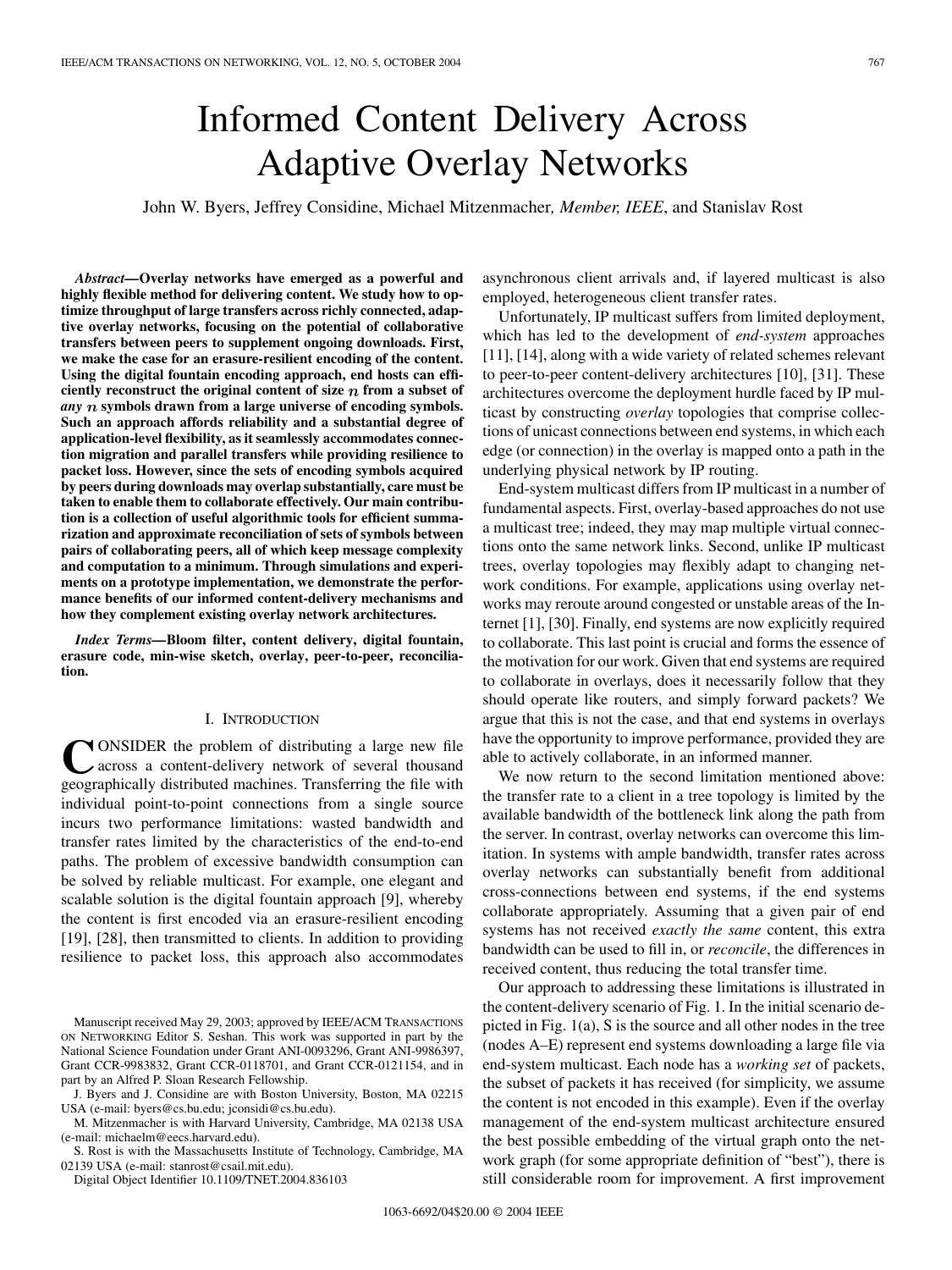# Informed Content Delivery Across Adaptive Overlay Networks

John W. Byers, Jeffrey Considine, Michael Mitzenmacher*, Member, IEEE*, and Stanislav Rost

*Abstract—***Overlay networks have emerged as a powerful and highly flexible method for delivering content. We study how to optimize throughput of large transfers across richly connected, adaptive overlay networks, focusing on the potential of collaborative transfers between peers to supplement ongoing downloads. First, we make the case for an erasure-resilient encoding of the content. Using the digital fountain encoding approach, end hosts can effi**ciently reconstruct the original content of size  $n$  from a subset of *any* **symbols drawn from a large universe of encoding symbols. Such an approach affords reliability and a substantial degree of application-level flexibility, as it seamlessly accommodates connection migration and parallel transfers while providing resilience to packet loss. However, since the sets of encoding symbols acquired by peers during downloads may overlap substantially, care must be taken to enable them to collaborate effectively. Our main contribution is a collection of useful algorithmic tools for efficient summarization and approximate reconciliation of sets of symbols between pairs of collaborating peers, all of which keep message complexity and computation to a minimum. Through simulations and experiments on a prototype implementation, we demonstrate the performance benefits of our informed content-delivery mechanisms and how they complement existing overlay network architectures.**

*Index Terms—***Bloom filter, content delivery, digital fountain, erasure code, min-wise sketch, overlay, peer-to-peer, reconciliation.**

#### I. INTRODUCTION

**CONSIDER** the problem of distributing a large new file across a content-delivery network of several thousand geographically distributed machines. Transferring the file with individual point-to-point connections from a single source incurs two performance limitations: wasted bandwidth and transfer rates limited by the characteristics of the end-to-end paths. The problem of excessive bandwidth consumption can be solved by reliable multicast. For example, one elegant and scalable solution is the digital fountain approach [\[9](#page-13-0)], whereby the content is first encoded via an erasure-resilient encoding [\[19](#page-13-0)], [[28\]](#page-13-0), then transmitted to clients. In addition to providing resilience to packet loss, this approach also accommodates

M. Mitzenmacher is with Harvard University, Cambridge, MA 02138 USA (e-mail: michaelm@eecs.harvard.edu).

S. Rost is with the Massachusetts Institute of Technology, Cambridge, MA 02139 USA (e-mail: stanrost@csail.mit.edu).

Digital Object Identifier 10.1109/TNET.2004.836103

asynchronous client arrivals and, if layered multicast is also employed, heterogeneous client transfer rates.

Unfortunately, IP multicast suffers from limited deployment, which has led to the development of *end-system* approaches [\[11](#page-13-0)], [[14\]](#page-13-0), along with a wide variety of related schemes relevant to peer-to-peer content-delivery architectures [[10\]](#page-13-0), [[31\]](#page-13-0). These architectures overcome the deployment hurdle faced by IP multicast by constructing *overlay* topologies that comprise collections of unicast connections between end systems, in which each edge (or connection) in the overlay is mapped onto a path in the underlying physical network by IP routing.

End-system multicast differs from IP multicast in a number of fundamental aspects. First, overlay-based approaches do not use a multicast tree; indeed, they may map multiple virtual connections onto the same network links. Second, unlike IP multicast trees, overlay topologies may flexibly adapt to changing network conditions. For example, applications using overlay networks may reroute around congested or unstable areas of the Internet [\[1](#page-13-0)], [[30\]](#page-13-0). Finally, end systems are now explicitly required to collaborate. This last point is crucial and forms the essence of the motivation for our work. Given that end systems are required to collaborate in overlays, does it necessarily follow that they should operate like routers, and simply forward packets? We argue that this is not the case, and that end systems in overlays have the opportunity to improve performance, provided they are able to actively collaborate, in an informed manner.

We now return to the second limitation mentioned above: the transfer rate to a client in a tree topology is limited by the available bandwidth of the bottleneck link along the path from the server. In contrast, overlay networks can overcome this limitation. In systems with ample bandwidth, transfer rates across overlay networks can substantially benefit from additional cross-connections between end systems, if the end systems collaborate appropriately. Assuming that a given pair of end systems has not received *exactly the same* content, this extra bandwidth can be used to fill in, or *reconcile*, the differences in received content, thus reducing the total transfer time.

Our approach to addressing these limitations is illustrated in the content-delivery scenario of Fig. 1. In the initial scenario depicted in Fig. 1(a), S is the source and all other nodes in the tree (nodes A–E) represent end systems downloading a large file via end-system multicast. Each node has a *working set* of packets, the subset of packets it has received (for simplicity, we assume the content is not encoded in this example). Even if the overlay management of the end-system multicast architecture ensured the best possible embedding of the virtual graph onto the network graph (for some appropriate definition of "best"), there is still considerable room for improvement. A first improvement

Manuscript received May 29, 2003; approved by IEEE/ACM TRANSACTIONS ON NETWORKING Editor S. Seshan. This work was supported in part by the National Science Foundation under Grant ANI-0093296, Grant ANI-9986397, Grant CCR-9983832, Grant CCR-0118701, and Grant CCR-0121154, and in part by an Alfred P. Sloan Research Fellowship.

J. Byers and J. Considine are with Boston University, Boston, MA 02215 USA (e-mail: byers@cs.bu.edu; jconsidi@cs.bu.edu).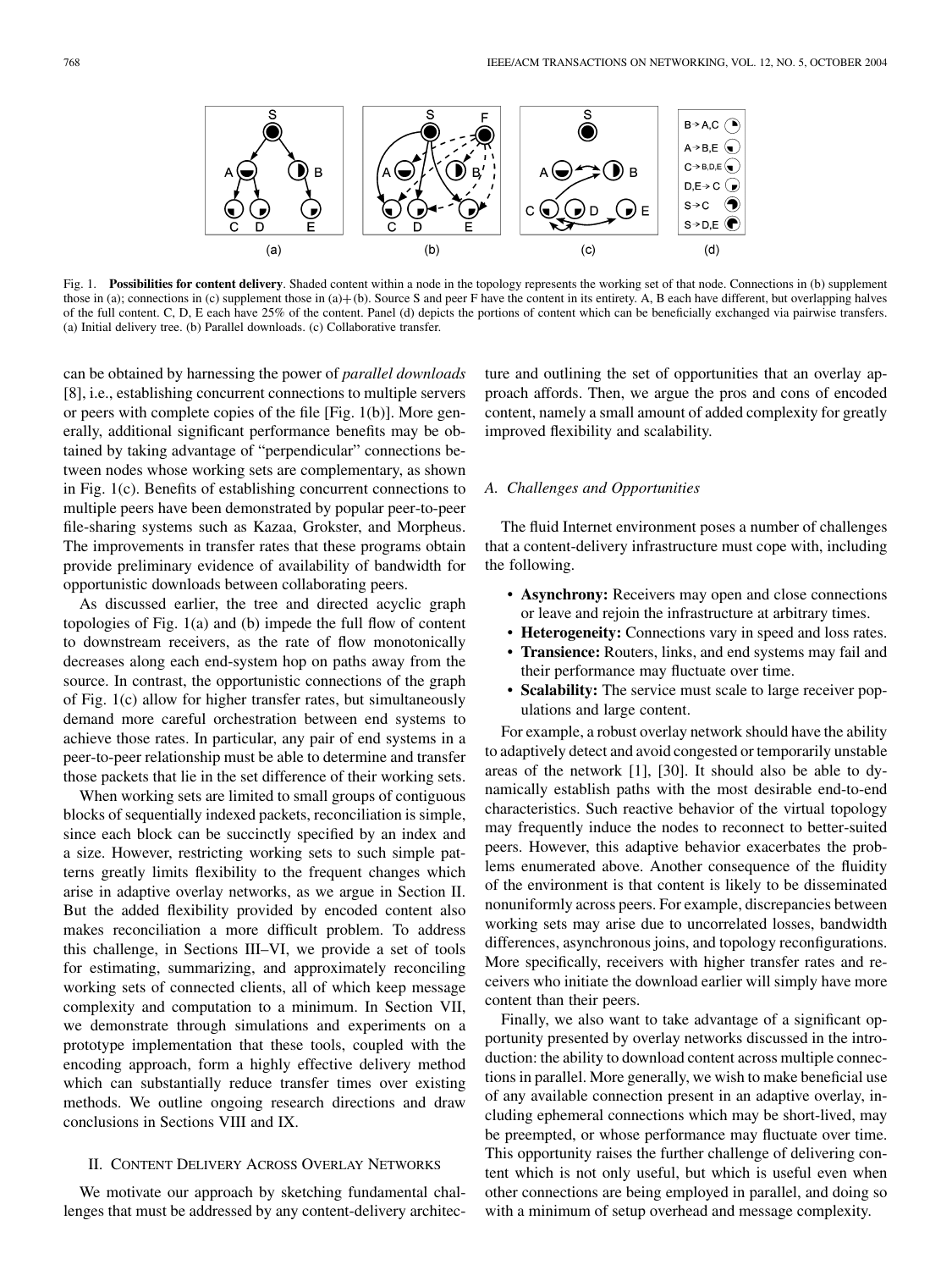

Fig. 1. **Possibilities for content delivery**. Shaded content within a node in the topology represents the working set of that node. Connections in (b) supplement those in (a); connections in (c) supplement those in (a)+(b). Source S and peer F have the content in its entirety. A, B each have different, but overlapping halves of the full content. C, D, E each have 25% of the content. Panel (d) depicts the portions of content which can be beneficially exchanged via pairwise transfers. (a) Initial delivery tree. (b) Parallel downloads. (c) Collaborative transfer.

can be obtained by harnessing the power of *parallel downloads* [[8\]](#page-13-0), i.e., establishing concurrent connections to multiple servers or peers with complete copies of the file [Fig. 1(b)]. More generally, additional significant performance benefits may be obtained by taking advantage of "perpendicular" connections between nodes whose working sets are complementary, as shown in Fig. 1(c). Benefits of establishing concurrent connections to multiple peers have been demonstrated by popular peer-to-peer file-sharing systems such as Kazaa, Grokster, and Morpheus. The improvements in transfer rates that these programs obtain provide preliminary evidence of availability of bandwidth for opportunistic downloads between collaborating peers.

As discussed earlier, the tree and directed acyclic graph topologies of Fig. 1(a) and (b) impede the full flow of content to downstream receivers, as the rate of flow monotonically decreases along each end-system hop on paths away from the source. In contrast, the opportunistic connections of the graph of Fig. 1(c) allow for higher transfer rates, but simultaneously demand more careful orchestration between end systems to achieve those rates. In particular, any pair of end systems in a peer-to-peer relationship must be able to determine and transfer those packets that lie in the set difference of their working sets.

When working sets are limited to small groups of contiguous blocks of sequentially indexed packets, reconciliation is simple, since each block can be succinctly specified by an index and a size. However, restricting working sets to such simple patterns greatly limits flexibility to the frequent changes which arise in adaptive overlay networks, as we argue in Section II. But the added flexibility provided by encoded content also makes reconciliation a more difficult problem. To address this challenge, in Sections III–VI, we provide a set of tools for estimating, summarizing, and approximately reconciling working sets of connected clients, all of which keep message complexity and computation to a minimum. In Section VII, we demonstrate through simulations and experiments on a prototype implementation that these tools, coupled with the encoding approach, form a highly effective delivery method which can substantially reduce transfer times over existing methods. We outline ongoing research directions and draw conclusions in Sections VIII and IX.

# II. CONTENT DELIVERY ACROSS OVERLAY NETWORKS

We motivate our approach by sketching fundamental challenges that must be addressed by any content-delivery architecture and outlining the set of opportunities that an overlay approach affords. Then, we argue the pros and cons of encoded content, namely a small amount of added complexity for greatly improved flexibility and scalability.

#### *A. Challenges and Opportunities*

The fluid Internet environment poses a number of challenges that a content-delivery infrastructure must cope with, including the following.

- **Asynchrony:** Receivers may open and close connections or leave and rejoin the infrastructure at arbitrary times.
- **Heterogeneity:** Connections vary in speed and loss rates.
- **Transience:** Routers, links, and end systems may fail and their performance may fluctuate over time.
- **Scalability:** The service must scale to large receiver populations and large content.

For example, a robust overlay network should have the ability to adaptively detect and avoid congested or temporarily unstable areas of the network [[1\]](#page-13-0), [[30\]](#page-13-0). It should also be able to dynamically establish paths with the most desirable end-to-end characteristics. Such reactive behavior of the virtual topology may frequently induce the nodes to reconnect to better-suited peers. However, this adaptive behavior exacerbates the problems enumerated above. Another consequence of the fluidity of the environment is that content is likely to be disseminated nonuniformly across peers. For example, discrepancies between working sets may arise due to uncorrelated losses, bandwidth differences, asynchronous joins, and topology reconfigurations. More specifically, receivers with higher transfer rates and receivers who initiate the download earlier will simply have more content than their peers.

Finally, we also want to take advantage of a significant opportunity presented by overlay networks discussed in the introduction: the ability to download content across multiple connections in parallel. More generally, we wish to make beneficial use of any available connection present in an adaptive overlay, including ephemeral connections which may be short-lived, may be preempted, or whose performance may fluctuate over time. This opportunity raises the further challenge of delivering content which is not only useful, but which is useful even when other connections are being employed in parallel, and doing so with a minimum of setup overhead and message complexity.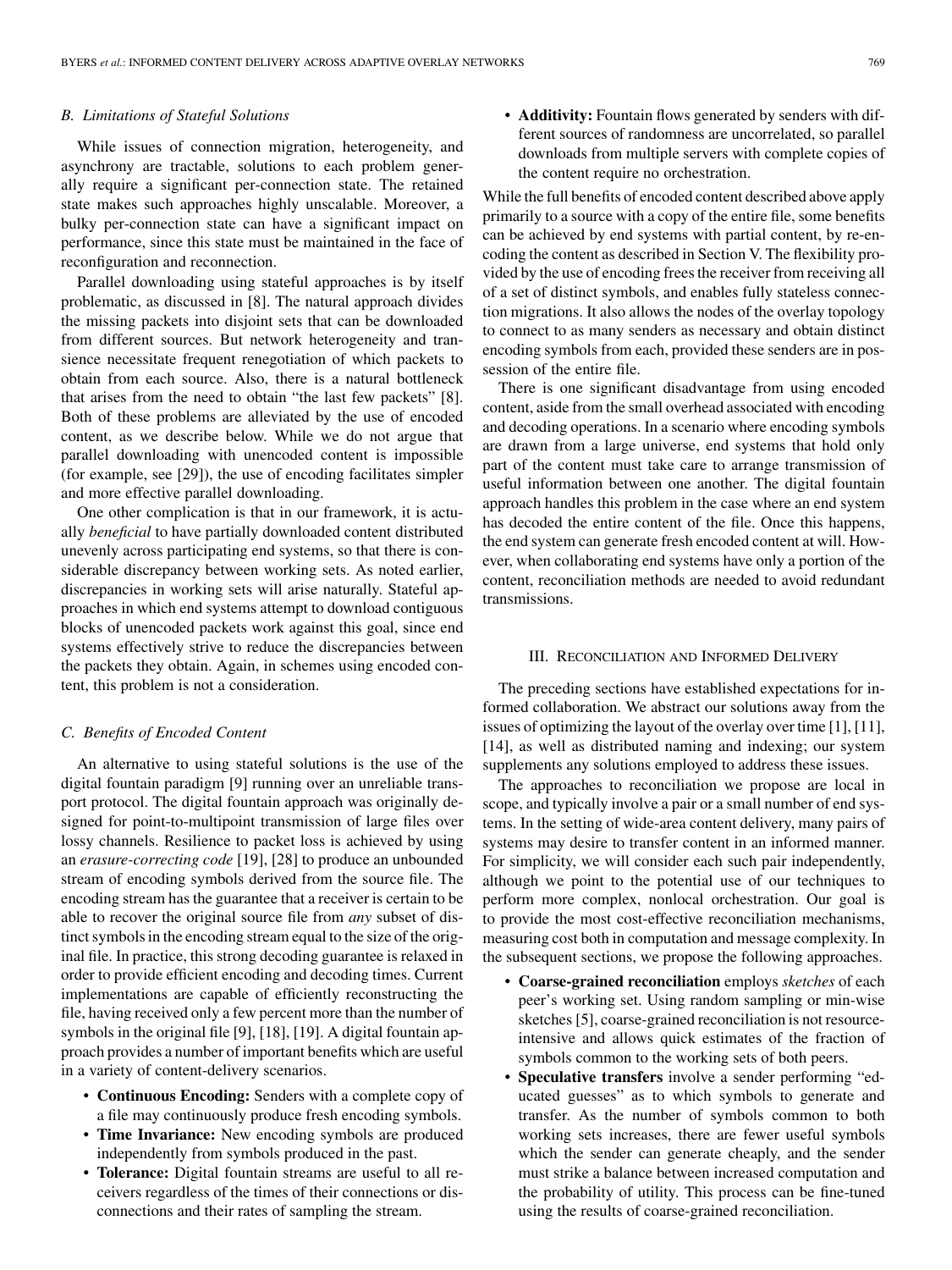# *B. Limitations of Stateful Solutions*

While issues of connection migration, heterogeneity, and asynchrony are tractable, solutions to each problem generally require a significant per-connection state. The retained state makes such approaches highly unscalable. Moreover, a bulky per-connection state can have a significant impact on performance, since this state must be maintained in the face of reconfiguration and reconnection.

Parallel downloading using stateful approaches is by itself problematic, as discussed in [[8\]](#page-13-0). The natural approach divides the missing packets into disjoint sets that can be downloaded from different sources. But network heterogeneity and transience necessitate frequent renegotiation of which packets to obtain from each source. Also, there is a natural bottleneck that arises from the need to obtain "the last few packets" [\[8](#page-13-0)]. Both of these problems are alleviated by the use of encoded content, as we describe below. While we do not argue that parallel downloading with unencoded content is impossible (for example, see [[29\]](#page-13-0)), the use of encoding facilitates simpler and more effective parallel downloading.

One other complication is that in our framework, it is actually *beneficial* to have partially downloaded content distributed unevenly across participating end systems, so that there is considerable discrepancy between working sets. As noted earlier, discrepancies in working sets will arise naturally. Stateful approaches in which end systems attempt to download contiguous blocks of unencoded packets work against this goal, since end systems effectively strive to reduce the discrepancies between the packets they obtain. Again, in schemes using encoded content, this problem is not a consideration.

## *C. Benefits of Encoded Content*

An alternative to using stateful solutions is the use of the digital fountain paradigm [\[9](#page-13-0)] running over an unreliable transport protocol. The digital fountain approach was originally designed for point-to-multipoint transmission of large files over lossy channels. Resilience to packet loss is achieved by using an *erasure-correcting code* [\[19](#page-13-0)], [[28\]](#page-13-0) to produce an unbounded stream of encoding symbols derived from the source file. The encoding stream has the guarantee that a receiver is certain to be able to recover the original source file from *any* subset of distinct symbols in the encoding stream equal to the size of the original file. In practice, this strong decoding guarantee is relaxed in order to provide efficient encoding and decoding times. Current implementations are capable of efficiently reconstructing the file, having received only a few percent more than the number of symbols in the original file [[9\]](#page-13-0), [\[18](#page-13-0)], [\[19](#page-13-0)]. A digital fountain approach provides a number of important benefits which are useful in a variety of content-delivery scenarios.

- **Continuous Encoding:** Senders with a complete copy of a file may continuously produce fresh encoding symbols.
- **Time Invariance:** New encoding symbols are produced independently from symbols produced in the past.
- **Tolerance:** Digital fountain streams are useful to all receivers regardless of the times of their connections or disconnections and their rates of sampling the stream.

• **Additivity:** Fountain flows generated by senders with different sources of randomness are uncorrelated, so parallel downloads from multiple servers with complete copies of the content require no orchestration.

While the full benefits of encoded content described above apply primarily to a source with a copy of the entire file, some benefits can be achieved by end systems with partial content, by re-encoding the content as described in Section V. The flexibility provided by the use of encoding frees the receiver from receiving all of a set of distinct symbols, and enables fully stateless connection migrations. It also allows the nodes of the overlay topology to connect to as many senders as necessary and obtain distinct encoding symbols from each, provided these senders are in possession of the entire file.

There is one significant disadvantage from using encoded content, aside from the small overhead associated with encoding and decoding operations. In a scenario where encoding symbols are drawn from a large universe, end systems that hold only part of the content must take care to arrange transmission of useful information between one another. The digital fountain approach handles this problem in the case where an end system has decoded the entire content of the file. Once this happens, the end system can generate fresh encoded content at will. However, when collaborating end systems have only a portion of the content, reconciliation methods are needed to avoid redundant transmissions.

#### III. RECONCILIATION AND INFORMED DELIVERY

The preceding sections have established expectations for informed collaboration. We abstract our solutions away from the issues of optimizing the layout of the overlay over time [\[1](#page-13-0)], [\[11](#page-13-0)], [\[14](#page-13-0)], as well as distributed naming and indexing; our system supplements any solutions employed to address these issues.

The approaches to reconciliation we propose are local in scope, and typically involve a pair or a small number of end systems. In the setting of wide-area content delivery, many pairs of systems may desire to transfer content in an informed manner. For simplicity, we will consider each such pair independently, although we point to the potential use of our techniques to perform more complex, nonlocal orchestration. Our goal is to provide the most cost-effective reconciliation mechanisms, measuring cost both in computation and message complexity. In the subsequent sections, we propose the following approaches.

- **Coarse-grained reconciliation** employs *sketches* of each peer's working set. Using random sampling or min-wise sketches [\[5](#page-13-0)], coarse-grained reconciliation is not resourceintensive and allows quick estimates of the fraction of symbols common to the working sets of both peers.
- **Speculative transfers** involve a sender performing "educated guesses" as to which symbols to generate and transfer. As the number of symbols common to both working sets increases, there are fewer useful symbols which the sender can generate cheaply, and the sender must strike a balance between increased computation and the probability of utility. This process can be fine-tuned using the results of coarse-grained reconciliation.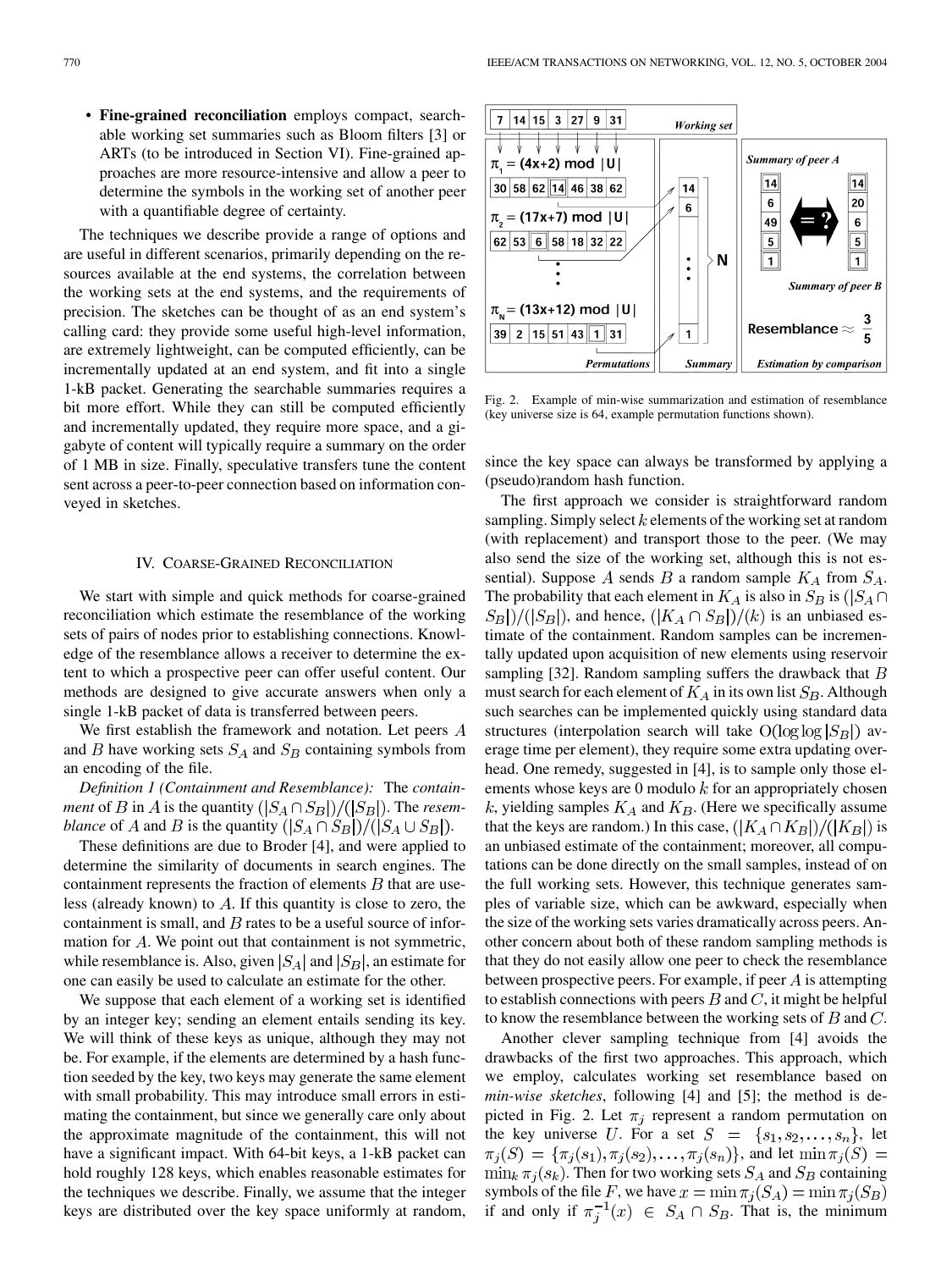• **Fine-grained reconciliation** employs compact, searchable working set summaries such as Bloom filters [[3\]](#page-13-0) or ARTs (to be introduced in Section VI). Fine-grained approaches are more resource-intensive and allow a peer to determine the symbols in the working set of another peer with a quantifiable degree of certainty.

The techniques we describe provide a range of options and are useful in different scenarios, primarily depending on the resources available at the end systems, the correlation between the working sets at the end systems, and the requirements of precision. The sketches can be thought of as an end system's calling card: they provide some useful high-level information, are extremely lightweight, can be computed efficiently, can be incrementally updated at an end system, and fit into a single 1-kB packet. Generating the searchable summaries requires a bit more effort. While they can still be computed efficiently and incrementally updated, they require more space, and a gigabyte of content will typically require a summary on the order of 1 MB in size. Finally, speculative transfers tune the content sent across a peer-to-peer connection based on information conveyed in sketches.

#### IV. COARSE-GRAINED RECONCILIATION

We start with simple and quick methods for coarse-grained reconciliation which estimate the resemblance of the working sets of pairs of nodes prior to establishing connections. Knowledge of the resemblance allows a receiver to determine the extent to which a prospective peer can offer useful content. Our methods are designed to give accurate answers when only a single 1-kB packet of data is transferred between peers.

We first establish the framework and notation. Let peers  $A$ and B have working sets  $S_A$  and  $S_B$  containing symbols from an encoding of the file.

*Definition 1 (Containment and Resemblance):* The *containment* of *B* in *A* is the quantity  $(|S_A \cap S_B|)/(|S_B|)$ . The *resemblance* of A and B is the quantity  $(|S_A \cap S_B|)/(|S_A \cup S_B|)$ .

These definitions are due to Broder [[4\]](#page-13-0), and were applied to determine the similarity of documents in search engines. The containment represents the fraction of elements  $B$  that are useless (already known) to  $\tilde{A}$ . If this quantity is close to zero, the containment is small, and  $B$  rates to be a useful source of information for  $A$ . We point out that containment is not symmetric, while resemblance is. Also, given  $|S_A|$  and  $|S_B|$ , an estimate for one can easily be used to calculate an estimate for the other.

We suppose that each element of a working set is identified by an integer key; sending an element entails sending its key. We will think of these keys as unique, although they may not be. For example, if the elements are determined by a hash function seeded by the key, two keys may generate the same element with small probability. This may introduce small errors in estimating the containment, but since we generally care only about the approximate magnitude of the containment, this will not have a significant impact. With 64-bit keys, a 1-kB packet can hold roughly 128 keys, which enables reasonable estimates for the techniques we describe. Finally, we assume that the integer keys are distributed over the key space uniformly at random,



Fig. 2. Example of min-wise summarization and estimation of resemblance (key universe size is 64, example permutation functions shown).

since the key space can always be transformed by applying a (pseudo)random hash function.

The first approach we consider is straightforward random sampling. Simply select  $k$  elements of the working set at random (with replacement) and transport those to the peer. (We may also send the size of the working set, although this is not essential). Suppose A sends B a random sample  $K_A$  from  $S_A$ . The probability that each element in  $K_A$  is also in  $S_B$  is  $(|S_A \cap$  $|S_B| \rangle / (|S_B|)$ , and hence,  $(|K_A \cap S_B|) / (k)$  is an unbiased estimate of the containment. Random samples can be incrementally updated upon acquisition of new elements using reservoir sampling [[32\]](#page-13-0). Random sampling suffers the drawback that  $B$ must search for each element of  $K_A$  in its own list  $S_B$ . Although such searches can be implemented quickly using standard data structures (interpolation search will take  $O(\log \log |S_B|)$  average time per element), they require some extra updating over-head. One remedy, suggested in [\[4](#page-13-0)], is to sample only those elements whose keys are 0 modulo  $k$  for an appropriately chosen k, yielding samples  $K_A$  and  $K_B$ . (Here we specifically assume that the keys are random.) In this case,  $\left(\frac{K_A \cap K_B}{\sum_{i=1}^N K_B}\right)$  is an unbiased estimate of the containment; moreover, all computations can be done directly on the small samples, instead of on the full working sets. However, this technique generates samples of variable size, which can be awkward, especially when the size of the working sets varies dramatically across peers. Another concern about both of these random sampling methods is that they do not easily allow one peer to check the resemblance between prospective peers. For example, if peer  $A$  is attempting to establish connections with peers  $B$  and  $C$ , it might be helpful to know the resemblance between the working sets of  $B$  and  $C$ .

Another clever sampling technique from [\[4](#page-13-0)] avoids the drawbacks of the first two approaches. This approach, which we employ, calculates working set resemblance based on *min-wise sketches*, following [[4\]](#page-13-0) and [[5\]](#page-13-0); the method is depicted in Fig. 2. Let  $\pi_i$  represent a random permutation on the key universe U. For a set  $S = \{s_1, s_2, \ldots, s_n\}$ , let  $\pi_j(S) = {\pi_j(s_1), \pi_j(s_2), \dots, \pi_j(s_n)}$ , and let  $\min \pi_j(S) =$  $\min_k \pi_i(s_k)$ . Then for two working sets  $S_A$  and  $S_B$  containing symbols of the file F, we have  $x = \min \pi_j(S_A) = \min \pi_j(S_B)$ if and only if  $\pi_i^{-1}(x) \in S_A \cap S_B$ . That is, the minimum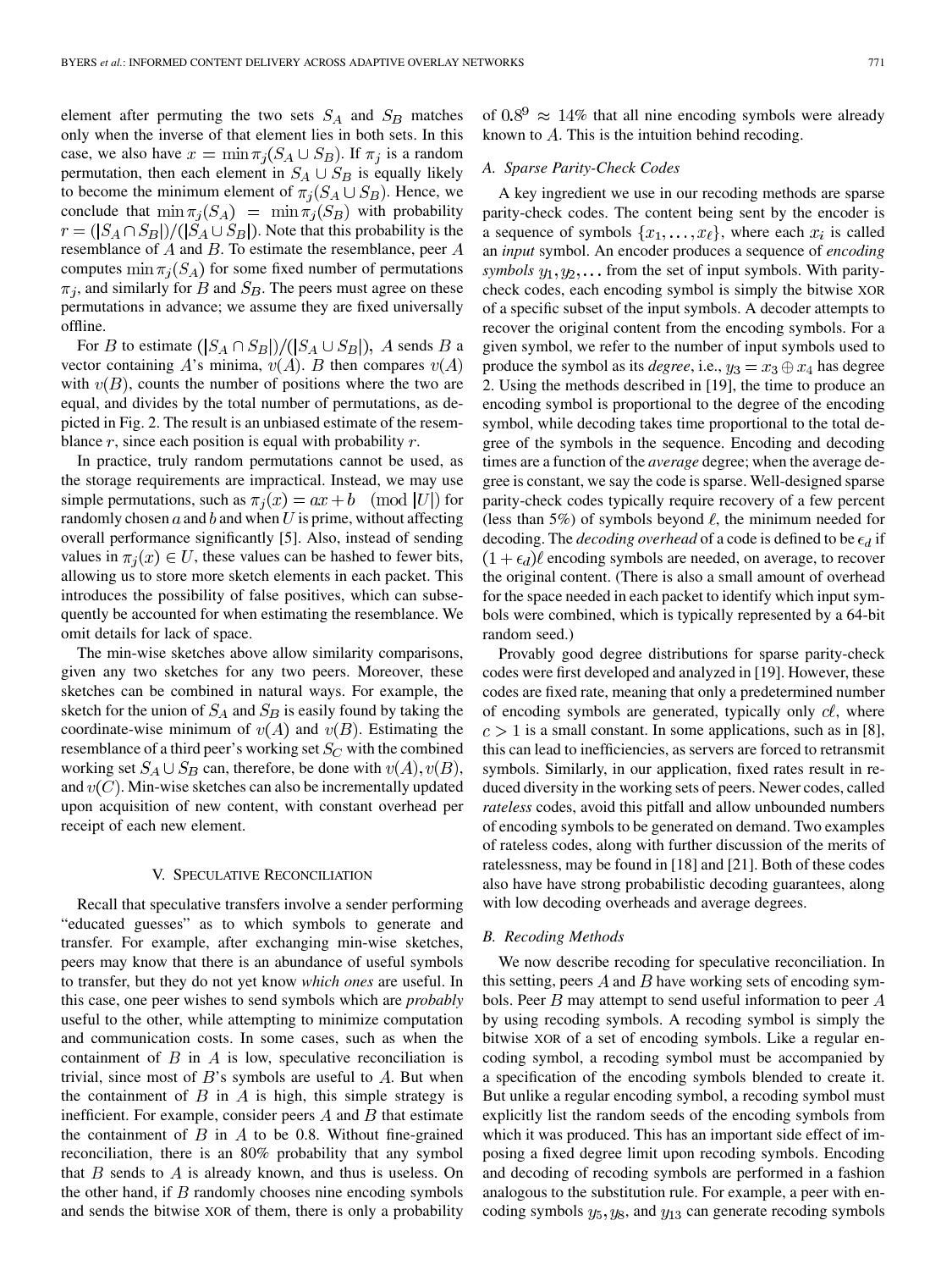element after permuting the two sets  $S_A$  and  $S_B$  matches only when the inverse of that element lies in both sets. In this case, we also have  $x = \min \pi_i (S_A \cup S_B)$ . If  $\pi_i$  is a random permutation, then each element in  $S_A \cup S_B$  is equally likely to become the minimum element of  $\pi_j(S_A \cup S_B)$ . Hence, we conclude that  $\min \pi_i(S_A) = \min \pi_i(S_B)$  with probability  $r = (|S_A \cap S_B|)/(|S_A \cup S_B|)$ . Note that this probability is the resemblance of  $A$  and  $B$ . To estimate the resemblance, peer  $A$ computes  $\min \pi_i(S_A)$  for some fixed number of permutations  $\pi_j$ , and similarly for B and  $S_B$ . The peers must agree on these permutations in advance; we assume they are fixed universally offline.

For B to estimate  $(|S_A \cap S_B|)/(|S_A \cup S_B|)$ , A sends B a vector containing A's minima,  $v(A)$ . B then compares  $v(A)$ with  $v(B)$ , counts the number of positions where the two are equal, and divides by the total number of permutations, as depicted in Fig. 2. The result is an unbiased estimate of the resemblance  $r$ , since each position is equal with probability  $r$ .

In practice, truly random permutations cannot be used, as the storage requirements are impractical. Instead, we may use simple permutations, such as  $\pi_j(x) = ax + b \pmod{|U|}$  for randomly chosen  $a$  and  $b$  and when  $U$  is prime, without affecting overall performance significantly [\[5](#page-13-0)]. Also, instead of sending values in  $\pi_i(x) \in U$ , these values can be hashed to fewer bits, allowing us to store more sketch elements in each packet. This introduces the possibility of false positives, which can subsequently be accounted for when estimating the resemblance. We omit details for lack of space.

The min-wise sketches above allow similarity comparisons, given any two sketches for any two peers. Moreover, these sketches can be combined in natural ways. For example, the sketch for the union of  $S_A$  and  $S_B$  is easily found by taking the coordinate-wise minimum of  $v(A)$  and  $v(B)$ . Estimating the resemblance of a third peer's working set  $S_C$  with the combined working set  $S_A \cup S_B$  can, therefore, be done with  $v(A), v(B)$ , and  $v(C)$ . Min-wise sketches can also be incrementally updated upon acquisition of new content, with constant overhead per receipt of each new element.

#### V. SPECULATIVE RECONCILIATION

Recall that speculative transfers involve a sender performing "educated guesses" as to which symbols to generate and transfer. For example, after exchanging min-wise sketches, peers may know that there is an abundance of useful symbols to transfer, but they do not yet know *which ones* are useful. In this case, one peer wishes to send symbols which are *probably* useful to the other, while attempting to minimize computation and communication costs. In some cases, such as when the containment of  $B$  in  $A$  is low, speculative reconciliation is trivial, since most of  $B$ 's symbols are useful to  $A$ . But when the containment of  $B$  in  $\overline{A}$  is high, this simple strategy is inefficient. For example, consider peers  $A$  and  $B$  that estimate the containment of  $B$  in  $A$  to be 0.8. Without fine-grained reconciliation, there is an 80% probability that any symbol that  $B$  sends to  $A$  is already known, and thus is useless. On the other hand, if  $B$  randomly chooses nine encoding symbols and sends the bitwise XOR of them, there is only a probability

of  $0.8^9 \approx 14\%$  that all nine encoding symbols were already known to  $A$ . This is the intuition behind recoding.

#### *A. Sparse Parity-Check Codes*

A key ingredient we use in our recoding methods are sparse parity-check codes. The content being sent by the encoder is a sequence of symbols  $\{x_1, \ldots, x_\ell\}$ , where each  $x_i$  is called an *input* symbol. An encoder produces a sequence of *encoding symbols*  $y_1, y_2, \ldots$  from the set of input symbols. With paritycheck codes, each encoding symbol is simply the bitwise XOR of a specific subset of the input symbols. A decoder attempts to recover the original content from the encoding symbols. For a given symbol, we refer to the number of input symbols used to produce the symbol as its *degree*, i.e.,  $y_3 = x_3 \oplus x_4$  has degree 2. Using the methods described in [[19\]](#page-13-0), the time to produce an encoding symbol is proportional to the degree of the encoding symbol, while decoding takes time proportional to the total degree of the symbols in the sequence. Encoding and decoding times are a function of the *average* degree; when the average degree is constant, we say the code is sparse. Well-designed sparse parity-check codes typically require recovery of a few percent (less than 5%) of symbols beyond  $\ell$ , the minimum needed for decoding. The *decoding overhead* of a code is defined to be  $\epsilon_d$  if  $(1 + \epsilon_d)\ell$  encoding symbols are needed, on average, to recover the original content. (There is also a small amount of overhead for the space needed in each packet to identify which input symbols were combined, which is typically represented by a 64-bit random seed.)

Provably good degree distributions for sparse parity-check codes were first developed and analyzed in [\[19\]](#page-13-0). However, these codes are fixed rate, meaning that only a predetermined number of encoding symbols are generated, typically only  $cl$ , where  $c > 1$  is a small constant. In some applications, such as in [\[8](#page-13-0)], this can lead to inefficiencies, as servers are forced to retransmit symbols. Similarly, in our application, fixed rates result in reduced diversity in the working sets of peers. Newer codes, called *rateless* codes, avoid this pitfall and allow unbounded numbers of encoding symbols to be generated on demand. Two examples of rateless codes, along with further discussion of the merits of ratelessness, may be found in [[18\]](#page-13-0) and [\[21](#page-13-0)]. Both of these codes also have have strong probabilistic decoding guarantees, along with low decoding overheads and average degrees.

# *B. Recoding Methods*

We now describe recoding for speculative reconciliation. In this setting, peers A and B have working sets of encoding symbols. Peer  $B$  may attempt to send useful information to peer  $A$ by using recoding symbols. A recoding symbol is simply the bitwise XOR of a set of encoding symbols. Like a regular encoding symbol, a recoding symbol must be accompanied by a specification of the encoding symbols blended to create it. But unlike a regular encoding symbol, a recoding symbol must explicitly list the random seeds of the encoding symbols from which it was produced. This has an important side effect of imposing a fixed degree limit upon recoding symbols. Encoding and decoding of recoding symbols are performed in a fashion analogous to the substitution rule. For example, a peer with encoding symbols  $y_5, y_8$ , and  $y_{13}$  can generate recoding symbols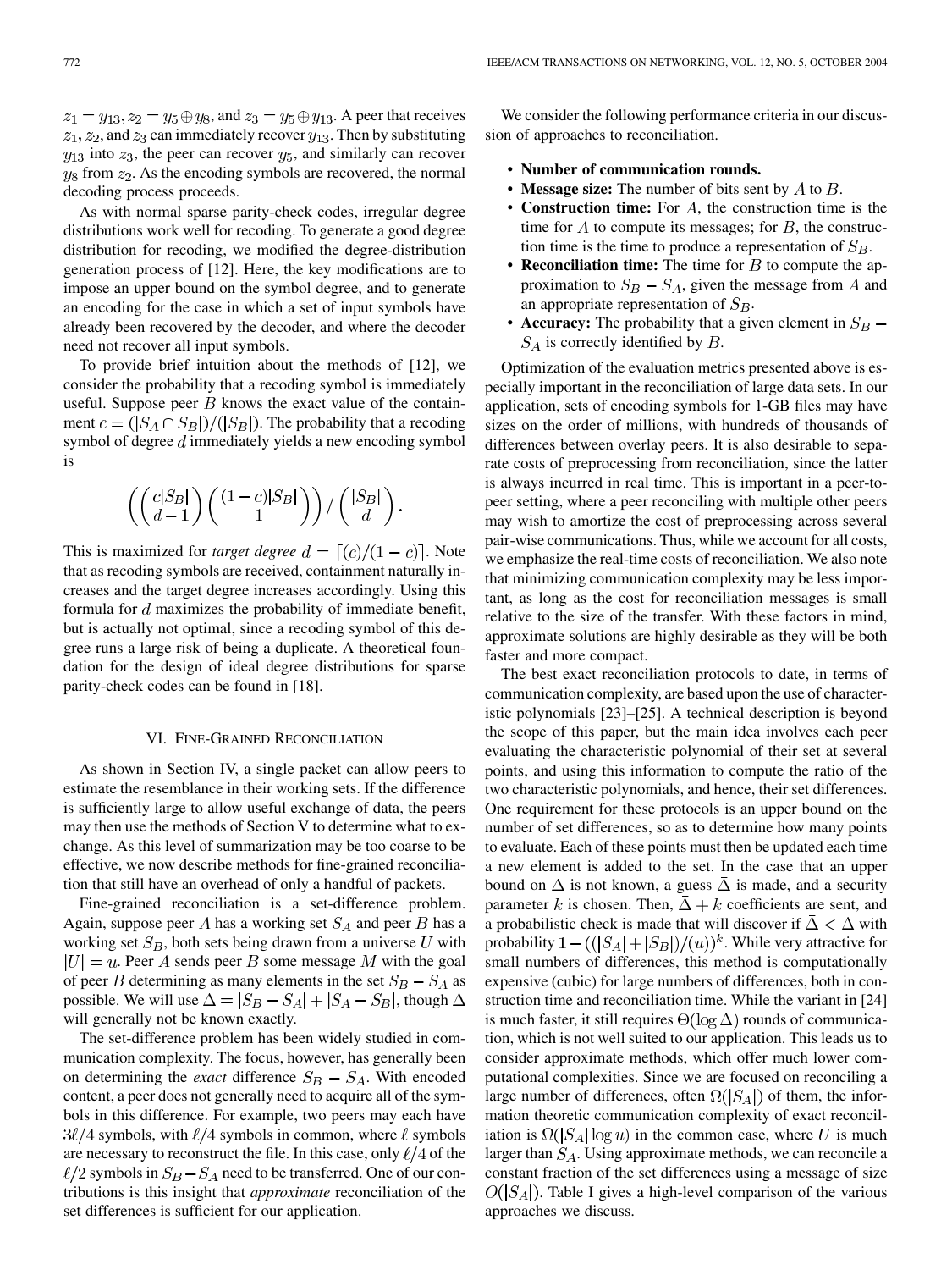$z_1 = y_{13}, z_2 = y_5 \oplus y_8$ , and  $z_3 = y_5 \oplus y_{13}$ . A peer that receives  $z_1, z_2$ , and  $z_3$  can immediately recover  $y_{13}$ . Then by substituting  $y_{13}$  into  $z_3$ , the peer can recover  $y_5$ , and similarly can recover  $y_8$  from  $z_2$ . As the encoding symbols are recovered, the normal decoding process proceeds.

As with normal sparse parity-check codes, irregular degree distributions work well for recoding. To generate a good degree distribution for recoding, we modified the degree-distribution generation process of [[12\]](#page-13-0). Here, the key modifications are to impose an upper bound on the symbol degree, and to generate an encoding for the case in which a set of input symbols have already been recovered by the decoder, and where the decoder need not recover all input symbols.

To provide brief intuition about the methods of [[12\]](#page-13-0), we consider the probability that a recoding symbol is immediately useful. Suppose peer  $B$  knows the exact value of the containment  $c = (|S_A \cap S_B|)/(|S_B|)$ . The probability that a recoding symbol of degree  $d$  immediately yields a new encoding symbol is

$$
\left(\left(\begin{matrix}c|S_B|\\d-1\end{matrix}\right)\left(\begin{matrix}(1-c)|S_B|\\1\end{matrix}\right)\right)/\left(\begin{matrix}|S_B|\\d\end{matrix}\right).
$$

This is maximized for *target degree*  $d = [(c)/(1-c)]$ . Note that as recoding symbols are received, containment naturally increases and the target degree increases accordingly. Using this formula for  $d$  maximizes the probability of immediate benefit, but is actually not optimal, since a recoding symbol of this degree runs a large risk of being a duplicate. A theoretical foundation for the design of ideal degree distributions for sparse parity-check codes can be found in [[18\]](#page-13-0).

### VI. FINE-GRAINED RECONCILIATION

As shown in Section IV, a single packet can allow peers to estimate the resemblance in their working sets. If the difference is sufficiently large to allow useful exchange of data, the peers may then use the methods of Section V to determine what to exchange. As this level of summarization may be too coarse to be effective, we now describe methods for fine-grained reconciliation that still have an overhead of only a handful of packets.

Fine-grained reconciliation is a set-difference problem. Again, suppose peer  $A$  has a working set  $S_A$  and peer  $B$  has a working set  $S_B$ , both sets being drawn from a universe U with  $|U| = u$ . Peer A sends peer B some message M with the goal of peer B determining as many elements in the set  $S_B - S_A$  as possible. We will use  $\Delta = |S_B - S_A| + |S_A - S_B|$ , though  $\Delta$ will generally not be known exactly.

The set-difference problem has been widely studied in communication complexity. The focus, however, has generally been on determining the *exact* difference  $S_B - S_A$ . With encoded content, a peer does not generally need to acquire all of the symbols in this difference. For example, two peers may each have  $3\ell/4$  symbols, with  $\ell/4$  symbols in common, where  $\ell$  symbols are necessary to reconstruct the file. In this case, only  $\ell/4$  of the  $\ell/2$  symbols in  $S_B - S_A$  need to be transferred. One of our contributions is this insight that *approximate* reconciliation of the set differences is sufficient for our application.

We consider the following performance criteria in our discussion of approaches to reconciliation.

- **Number of communication rounds.**
- **Message size:** The number of bits sent by  $\overline{A}$  to  $\overline{B}$ .
- **Construction time:** For A, the construction time is the time for  $A$  to compute its messages; for  $B$ , the construction time is the time to produce a representation of  $S_B$ .
- **Reconciliation time:** The time for  $B$  to compute the approximation to  $S_B - S_A$ , given the message from A and an appropriate representation of  $S_B$ .
- **Accuracy:** The probability that a given element in  $S_B$   $S_A$  is correctly identified by  $B$ .

Optimization of the evaluation metrics presented above is especially important in the reconciliation of large data sets. In our application, sets of encoding symbols for 1-GB files may have sizes on the order of millions, with hundreds of thousands of differences between overlay peers. It is also desirable to separate costs of preprocessing from reconciliation, since the latter is always incurred in real time. This is important in a peer-topeer setting, where a peer reconciling with multiple other peers may wish to amortize the cost of preprocessing across several pair-wise communications. Thus, while we account for all costs, we emphasize the real-time costs of reconciliation. We also note that minimizing communication complexity may be less important, as long as the cost for reconciliation messages is small relative to the size of the transfer. With these factors in mind, approximate solutions are highly desirable as they will be both faster and more compact.

The best exact reconciliation protocols to date, in terms of communication complexity, are based upon the use of characteristic polynomials [[23\]](#page-13-0)–[\[25](#page-13-0)]. A technical description is beyond the scope of this paper, but the main idea involves each peer evaluating the characteristic polynomial of their set at several points, and using this information to compute the ratio of the two characteristic polynomials, and hence, their set differences. One requirement for these protocols is an upper bound on the number of set differences, so as to determine how many points to evaluate. Each of these points must then be updated each time a new element is added to the set. In the case that an upper bound on  $\Delta$  is not known, a guess  $\bar{\Delta}$  is made, and a security parameter k is chosen. Then,  $\overline{\Delta} + k$  coefficients are sent, and a probabilistic check is made that will discover if  $\bar{\Delta} < \Delta$  with probability  $1 - ((|S_A| + |S_B|)/((u))^k$ . While very attractive for small numbers of differences, this method is computationally expensive (cubic) for large numbers of differences, both in construction time and reconciliation time. While the variant in [\[24](#page-13-0)] is much faster, it still requires  $\Theta(\log \Delta)$  rounds of communication, which is not well suited to our application. This leads us to consider approximate methods, which offer much lower computational complexities. Since we are focused on reconciling a large number of differences, often  $\Omega(|S_A|)$  of them, the information theoretic communication complexity of exact reconciliation is  $\Omega(|S_A| \log u)$  in the common case, where U is much larger than  $S_A$ . Using approximate methods, we can reconcile a constant fraction of the set differences using a message of size  $O(|S_A|)$ . Table I gives a high-level comparison of the various approaches we discuss.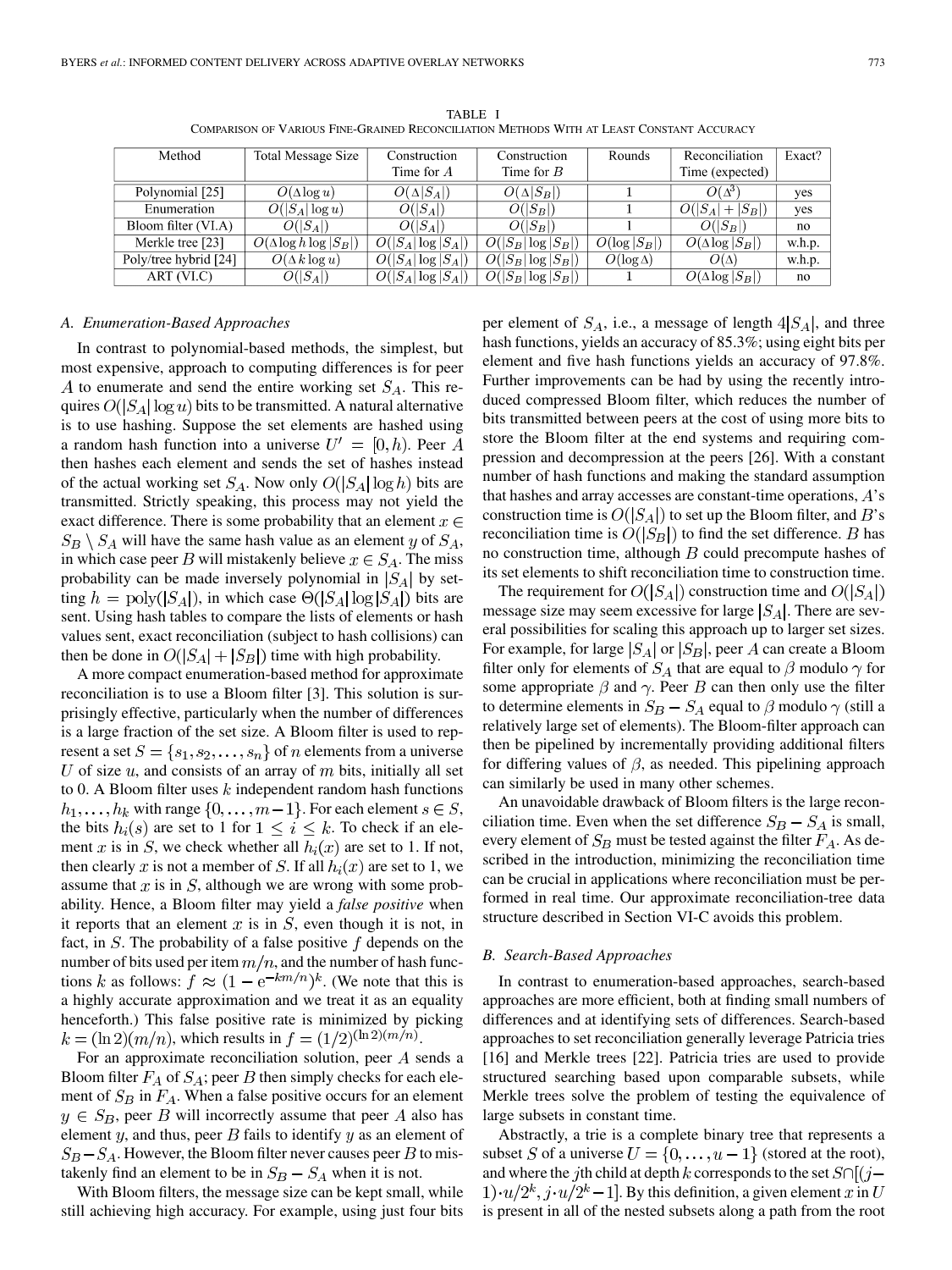Method **Total Message Size** Construction Construction Rounds Reconciliation Exact? Time (expected) Time for A Time for  $B$ Polynomial [25]  $\overline{O(\Delta \log u)}$  $O(\Delta |S_A|)$  $\overline{O(\Delta |S_B|)}$  $\overline{1}$  $O(\Delta^3)$ yes Enumeration  $O(|S_A| \log u)$  $O(|S_A|)$  $O(|S_B|)$  $\overline{1}$  $O(|S_A| + |S_B|)$ yes  $\overline{O(|S_A|)}$  $\overline{O(|S_B|)}$ Bloom filter (VI.A)  $O(|S_A|)$  $\overline{1}$  $O(|S_B|)$ no Merkle tree [23]  $O(\Delta \log h \log |S_B|)$  $O(|S_A|\log |S_A|)$  $O(|S_B| \log |S_B|)$  $O(\log |S_B|)$  $O(\Delta \log |S_B|)$ w.h.p. Poly/tree hybrid [24]  $O(\Delta k \log u)$  $O(|S_A|\log |S_A|)$  $O(|S_B| \log |S_B|)$  $\overline{O(\Delta)}$  $O(\log \Delta)$ w.h.p.  $ART$  (VI.C)  $O(|S_A|)$  $O(|S_A| \log |S_A|)$  $O(|S_B| \log |S_B|)$  $O(\Delta \log |S_B|)$  $\mathbf{1}$ no

TABLE I COMPARISON OF VARIOUS FINE-GRAINED RECONCILIATION METHODS WITH AT LEAST CONSTANT ACCURACY

#### *A. Enumeration-Based Approaches*

In contrast to polynomial-based methods, the simplest, but most expensive, approach to computing differences is for peer A to enumerate and send the entire working set  $S_A$ . This requires  $O(|S_A| \log u)$  bits to be transmitted. A natural alternative is to use hashing. Suppose the set elements are hashed using a random hash function into a universe  $U' = [0, h)$ . Peer A then hashes each element and sends the set of hashes instead of the actual working set  $S_A$ . Now only  $O(|S_A| \log h)$  bits are transmitted. Strictly speaking, this process may not yield the exact difference. There is some probability that an element  $x \in$  $S_B \setminus S_A$  will have the same hash value as an element y of  $S_A$ , in which case peer  $B$  will mistakenly believe  $x \in S_A.$  The miss probability can be made inversely polynomial in  $|S_A|$  by setting  $h = \text{poly}(|S_A|)$ , in which case  $\Theta(|S_A| \log |S_A|)$  bits are sent. Using hash tables to compare the lists of elements or hash values sent, exact reconciliation (subject to hash collisions) can then be done in  $O(|S_A| + |S_B|)$  time with high probability.

A more compact enumeration-based method for approximate reconciliation is to use a Bloom filter [[3\]](#page-13-0). This solution is surprisingly effective, particularly when the number of differences is a large fraction of the set size. A Bloom filter is used to represent a set  $S = \{s_1, s_2, \ldots, s_n\}$  of *n* elements from a universe U of size  $u$ , and consists of an array of  $m$  bits, initially all set to 0. A Bloom filter uses  $k$  independent random hash functions  $h_1, \ldots, h_k$  with range  $\{0, \ldots, m-1\}$ . For each element  $s \in S$ , the bits  $h_i(s)$  are set to 1 for  $1 \leq i \leq k$ . To check if an element x is in S, we check whether all  $h_i(x)$  are set to 1. If not, then clearly x is not a member of S. If all  $h_i(x)$  are set to 1, we assume that  $x$  is in  $S$ , although we are wrong with some probability. Hence, a Bloom filter may yield a *false positive* when it reports that an element  $x$  is in  $S$ , even though it is not, in fact, in  $S$ . The probability of a false positive  $f$  depends on the number of bits used per item  $m/n$ , and the number of hash functions k as follows:  $f \approx (1 - e^{-km/n})^k$ . (We note that this is a highly accurate approximation and we treat it as an equality henceforth.) This false positive rate is minimized by picking  $k = (\ln 2)(m/n)$ , which results in  $f = (1/2)^{(\ln 2)(m/n)}$ .

For an approximate reconciliation solution, peer  $A$  sends a Bloom filter  $F_A$  of  $S_A$ ; peer B then simply checks for each element of  $S_B$  in  $F_A$ . When a false positive occurs for an element  $y \in S_B$ , peer B will incorrectly assume that peer A also has element  $y$ , and thus, peer  $B$  fails to identify  $y$  as an element of  $S_B - S_A$ . However, the Bloom filter never causes peer B to mistakenly find an element to be in  $S_B - S_A$  when it is not.

With Bloom filters, the message size can be kept small, while still achieving high accuracy. For example, using just four bits per element of  $S_A$ , i.e., a message of length  $4|S_A|$ , and three hash functions, yields an accuracy of 85.3%; using eight bits per element and five hash functions yields an accuracy of 97.8%. Further improvements can be had by using the recently introduced compressed Bloom filter, which reduces the number of bits transmitted between peers at the cost of using more bits to store the Bloom filter at the end systems and requiring compression and decompression at the peers [\[26](#page-13-0)]. With a constant number of hash functions and making the standard assumption that hashes and array accesses are constant-time operations,  $A$ 's construction time is  $O(|S_A|)$  to set up the Bloom filter, and B's reconciliation time is  $O(|S_B|)$  to find the set difference. B has no construction time, although  $B$  could precompute hashes of its set elements to shift reconciliation time to construction time.

The requirement for  $O(|S_A|)$  construction time and  $O(|S_A|)$ message size may seem excessive for large  $|S_A|$ . There are several possibilities for scaling this approach up to larger set sizes. For example, for large  $|S_A|$  or  $|S_B|$ , peer A can create a Bloom filter only for elements of  $S_A$  that are equal to  $\beta$  modulo  $\gamma$  for some appropriate  $\beta$  and  $\gamma$ . Peer B can then only use the filter to determine elements in  $S_B - S_A$  equal to  $\beta$  modulo  $\gamma$  (still a relatively large set of elements). The Bloom-filter approach can then be pipelined by incrementally providing additional filters for differing values of  $\beta$ , as needed. This pipelining approach can similarly be used in many other schemes.

An unavoidable drawback of Bloom filters is the large reconciliation time. Even when the set difference  $S_B - S_A$  is small, every element of  $S_B$  must be tested against the filter  $F_A$ . As described in the introduction, minimizing the reconciliation time can be crucial in applications where reconciliation must be performed in real time. Our approximate reconciliation-tree data structure described in Section VI-C avoids this problem.

#### *B. Search-Based Approaches*

In contrast to enumeration-based approaches, search-based approaches are more efficient, both at finding small numbers of differences and at identifying sets of differences. Search-based approaches to set reconciliation generally leverage Patricia tries [\[16](#page-13-0)] and Merkle trees [[22\]](#page-13-0). Patricia tries are used to provide structured searching based upon comparable subsets, while Merkle trees solve the problem of testing the equivalence of large subsets in constant time.

Abstractly, a trie is a complete binary tree that represents a subset S of a universe  $U = \{0, \ldots, u - 1\}$  (stored at the root), and where the jth child at depth k corresponds to the set  $S \cap [(j 1) \cdot u/2^k$ ,  $j \cdot u/2^k - 1$ . By this definition, a given element x in U is present in all of the nested subsets along a path from the root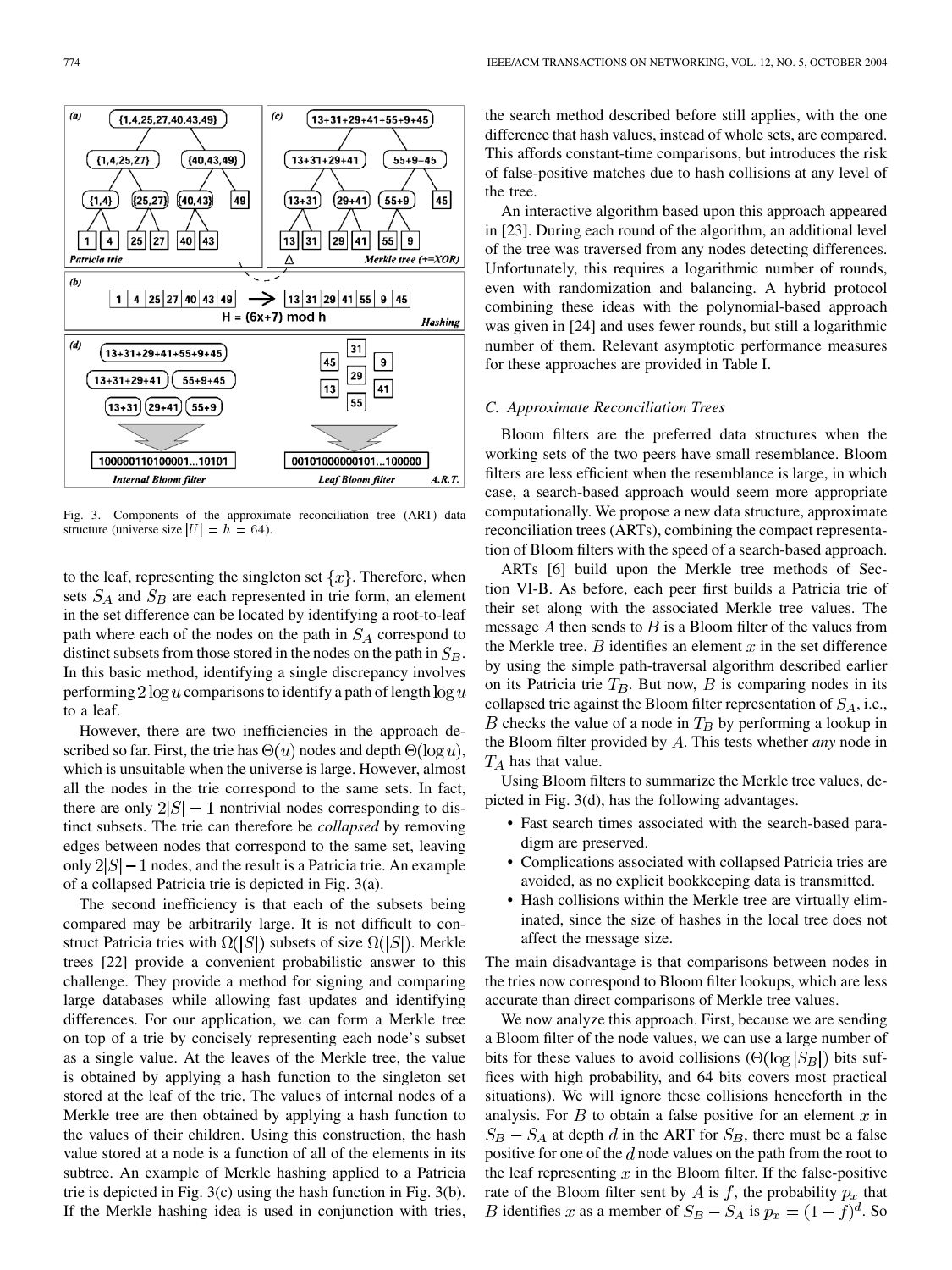

Fig. 3. Components of the approximate reconciliation tree (ART) data structure (universe size  $|U| = h = 64$ ).

to the leaf, representing the singleton set  $\{x\}$ . Therefore, when sets  $S_A$  and  $S_B$  are each represented in trie form, an element in the set difference can be located by identifying a root-to-leaf path where each of the nodes on the path in  $S_A$  correspond to distinct subsets from those stored in the nodes on the path in  $S_B$ . In this basic method, identifying a single discrepancy involves performing  $2 \log u$  comparisons to identify a path of length  $\log u$ to a leaf.

However, there are two inefficiencies in the approach described so far. First, the trie has  $\Theta(u)$  nodes and depth  $\Theta(\log u)$ , which is unsuitable when the universe is large. However, almost all the nodes in the trie correspond to the same sets. In fact, there are only  $2|S| - 1$  nontrivial nodes corresponding to distinct subsets. The trie can therefore be *collapsed* by removing edges between nodes that correspond to the same set, leaving only  $2|S| - 1$  nodes, and the result is a Patricia trie. An example of a collapsed Patricia trie is depicted in Fig. 3(a).

The second inefficiency is that each of the subsets being compared may be arbitrarily large. It is not difficult to construct Patricia tries with  $\Omega(|S|)$  subsets of size  $\Omega(|S|)$ . Merkle trees [\[22](#page-13-0)] provide a convenient probabilistic answer to this challenge. They provide a method for signing and comparing large databases while allowing fast updates and identifying differences. For our application, we can form a Merkle tree on top of a trie by concisely representing each node's subset as a single value. At the leaves of the Merkle tree, the value is obtained by applying a hash function to the singleton set stored at the leaf of the trie. The values of internal nodes of a Merkle tree are then obtained by applying a hash function to the values of their children. Using this construction, the hash value stored at a node is a function of all of the elements in its subtree. An example of Merkle hashing applied to a Patricia trie is depicted in Fig. 3(c) using the hash function in Fig. 3(b). If the Merkle hashing idea is used in conjunction with tries, the search method described before still applies, with the one difference that hash values, instead of whole sets, are compared. This affords constant-time comparisons, but introduces the risk of false-positive matches due to hash collisions at any level of the tree.

An interactive algorithm based upon this approach appeared in [\[23](#page-13-0)]. During each round of the algorithm, an additional level of the tree was traversed from any nodes detecting differences. Unfortunately, this requires a logarithmic number of rounds, even with randomization and balancing. A hybrid protocol combining these ideas with the polynomial-based approach was given in [[24](#page-13-0)] and uses fewer rounds, but still a logarithmic number of them. Relevant asymptotic performance measures for these approaches are provided in Table I.

#### *C. Approximate Reconciliation Trees*

Bloom filters are the preferred data structures when the working sets of the two peers have small resemblance. Bloom filters are less efficient when the resemblance is large, in which case, a search-based approach would seem more appropriate computationally. We propose a new data structure, approximate reconciliation trees (ARTs), combining the compact representation of Bloom filters with the speed of a search-based approach.

ARTs [[6\]](#page-13-0) build upon the Merkle tree methods of Section VI-B. As before, each peer first builds a Patricia trie of their set along with the associated Merkle tree values. The message  $A$  then sends to  $B$  is a Bloom filter of the values from the Merkle tree.  $B$  identifies an element  $x$  in the set difference by using the simple path-traversal algorithm described earlier on its Patricia trie  $T_B$ . But now, B is comparing nodes in its collapsed trie against the Bloom filter representation of  $S_A$ , i.e., B checks the value of a node in  $T_B$  by performing a lookup in the Bloom filter provided by A. This tests whether *any* node in  $T_A$  has that value.

Using Bloom filters to summarize the Merkle tree values, depicted in Fig. 3(d), has the following advantages.

- Fast search times associated with the search-based paradigm are preserved.
- Complications associated with collapsed Patricia tries are avoided, as no explicit bookkeeping data is transmitted.
- Hash collisions within the Merkle tree are virtually eliminated, since the size of hashes in the local tree does not affect the message size.

The main disadvantage is that comparisons between nodes in the tries now correspond to Bloom filter lookups, which are less accurate than direct comparisons of Merkle tree values.

We now analyze this approach. First, because we are sending a Bloom filter of the node values, we can use a large number of bits for these values to avoid collisions ( $\Theta(\log |S_B|)$  bits suffices with high probability, and 64 bits covers most practical situations). We will ignore these collisions henceforth in the analysis. For  $B$  to obtain a false positive for an element  $x$  in  $S_B - S_A$  at depth d in the ART for  $S_B$ , there must be a false positive for one of the  $d$  node values on the path from the root to the leaf representing  $x$  in the Bloom filter. If the false-positive rate of the Bloom filter sent by A is f, the probability  $p_x$  that B identifies x as a member of  $S_B - S_A$  is  $p_x = (1 - f)^d$ . So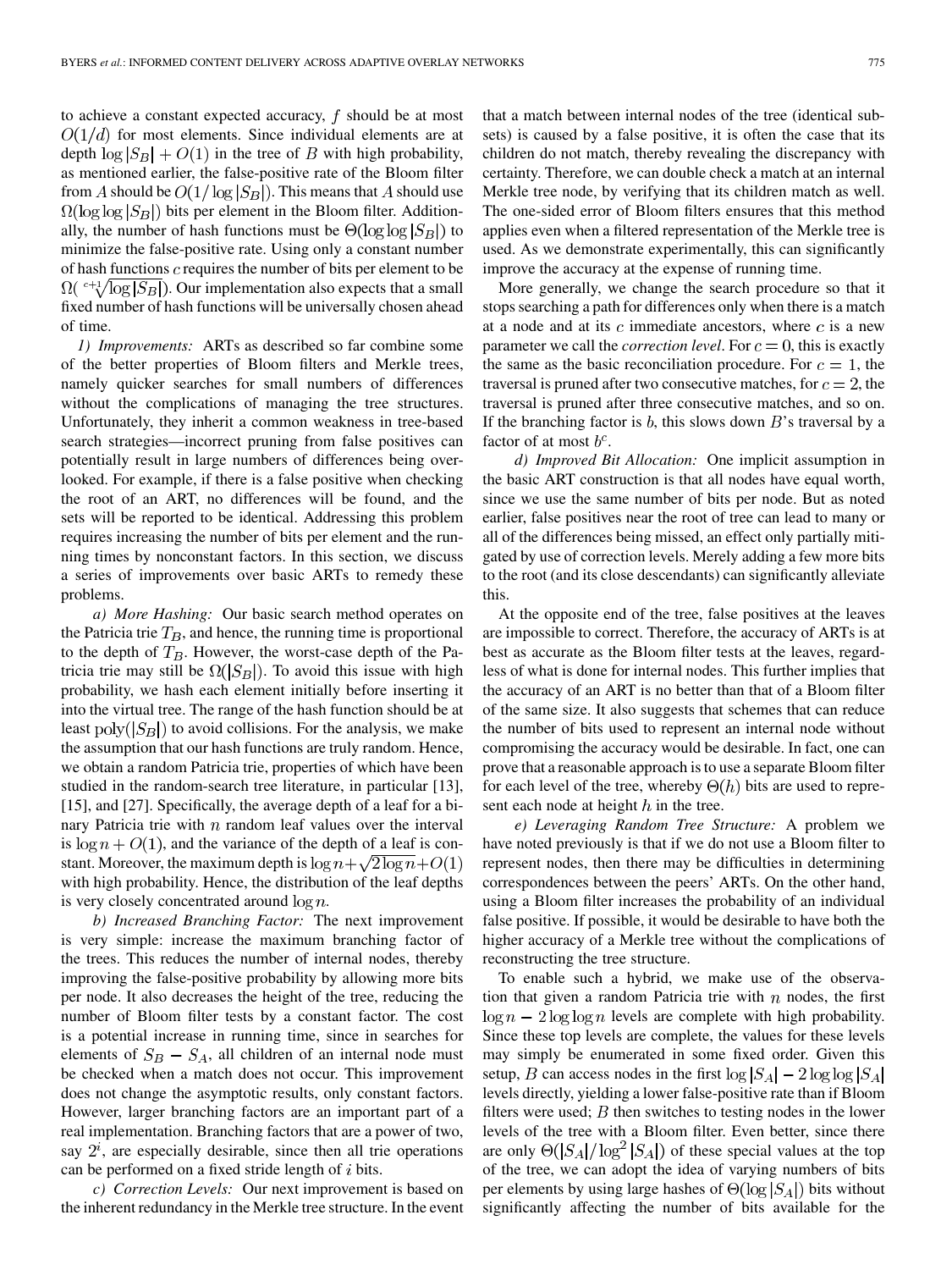to achieve a constant expected accuracy,  $f$  should be at most  $f(t)/d$  for most elements. Since individual elements are at depth  $\log |S_B| + O(1)$  in the tree of B with high probability, as mentioned earlier, the false-positive rate of the Bloom filter from A should be  $O(1/\log |S_B|)$ . This means that A should use  $\Omega(\log \log |S_B|)$  bits per element in the Bloom filter. Additionally, the number of hash functions must be  $\Theta(\log \log |S_B|)$  to minimize the false-positive rate. Using only a constant number of hash functions  $c$  requires the number of bits per element to be  $\Omega(\sqrt{\cosh(1-\frac{1}{2})}\log|S_B|)$ . Our implementation also expects that a small fixed number of hash functions will be universally chosen ahead of time.

*1) Improvements:* ARTs as described so far combine some of the better properties of Bloom filters and Merkle trees, namely quicker searches for small numbers of differences without the complications of managing the tree structures. Unfortunately, they inherit a common weakness in tree-based search strategies—incorrect pruning from false positives can potentially result in large numbers of differences being overlooked. For example, if there is a false positive when checking the root of an ART, no differences will be found, and the sets will be reported to be identical. Addressing this problem requires increasing the number of bits per element and the running times by nonconstant factors. In this section, we discuss a series of improvements over basic ARTs to remedy these problems.

*a) More Hashing:* Our basic search method operates on the Patricia trie  $T_B$ , and hence, the running time is proportional to the depth of  $T_B$ . However, the worst-case depth of the Patricia trie may still be  $\Omega(|S_B|)$ . To avoid this issue with high probability, we hash each element initially before inserting it into the virtual tree. The range of the hash function should be at least  $poly(|S_B|)$  to avoid collisions. For the analysis, we make the assumption that our hash functions are truly random. Hence, we obtain a random Patricia trie, properties of which have been studied in the random-search tree literature, in particular [\[13](#page-13-0)], [\[15](#page-13-0)], and [[27\]](#page-13-0). Specifically, the average depth of a leaf for a binary Patricia trie with  $n$  random leaf values over the interval is  $\log n + O(1)$ , and the variance of the depth of a leaf is constant. Moreover, the maximum depth is  $\log n + \sqrt{2 \log n} + O(1)$ with high probability. Hence, the distribution of the leaf depths is very closely concentrated around  $\log n$ .

*b) Increased Branching Factor:* The next improvement is very simple: increase the maximum branching factor of the trees. This reduces the number of internal nodes, thereby improving the false-positive probability by allowing more bits per node. It also decreases the height of the tree, reducing the number of Bloom filter tests by a constant factor. The cost is a potential increase in running time, since in searches for elements of  $S_B - S_A$ , all children of an internal node must be checked when a match does not occur. This improvement does not change the asymptotic results, only constant factors. However, larger branching factors are an important part of a real implementation. Branching factors that are a power of two, say  $2^i$ , are especially desirable, since then all trie operations can be performed on a fixed stride length of  $i$  bits.

*c) Correction Levels:* Our next improvement is based on the inherent redundancy in the Merkle tree structure. In the event that a match between internal nodes of the tree (identical subsets) is caused by a false positive, it is often the case that its children do not match, thereby revealing the discrepancy with certainty. Therefore, we can double check a match at an internal Merkle tree node, by verifying that its children match as well. The one-sided error of Bloom filters ensures that this method applies even when a filtered representation of the Merkle tree is used. As we demonstrate experimentally, this can significantly improve the accuracy at the expense of running time.

More generally, we change the search procedure so that it stops searching a path for differences only when there is a match at a node and at its  $c$  immediate ancestors, where  $c$  is a new parameter we call the *correction level*. For  $c = 0$ , this is exactly the same as the basic reconciliation procedure. For  $c = 1$ , the traversal is pruned after two consecutive matches, for  $c = 2$ , the traversal is pruned after three consecutive matches, and so on. If the branching factor is  $b$ , this slows down  $B$ 's traversal by a factor of at most  $b^c$ .

*d) Improved Bit Allocation:* One implicit assumption in the basic ART construction is that all nodes have equal worth, since we use the same number of bits per node. But as noted earlier, false positives near the root of tree can lead to many or all of the differences being missed, an effect only partially mitigated by use of correction levels. Merely adding a few more bits to the root (and its close descendants) can significantly alleviate this.

At the opposite end of the tree, false positives at the leaves are impossible to correct. Therefore, the accuracy of ARTs is at best as accurate as the Bloom filter tests at the leaves, regardless of what is done for internal nodes. This further implies that the accuracy of an ART is no better than that of a Bloom filter of the same size. It also suggests that schemes that can reduce the number of bits used to represent an internal node without compromising the accuracy would be desirable. In fact, one can prove that a reasonable approach is to use a separate Bloom filter for each level of the tree, whereby  $\Theta(h)$  bits are used to represent each node at height  $h$  in the tree.

*e) Leveraging Random Tree Structure:* A problem we have noted previously is that if we do not use a Bloom filter to represent nodes, then there may be difficulties in determining correspondences between the peers' ARTs. On the other hand, using a Bloom filter increases the probability of an individual false positive. If possible, it would be desirable to have both the higher accuracy of a Merkle tree without the complications of reconstructing the tree structure.

To enable such a hybrid, we make use of the observation that given a random Patricia trie with  $n$  nodes, the first  $\log n - 2 \log \log n$  levels are complete with high probability. Since these top levels are complete, the values for these levels may simply be enumerated in some fixed order. Given this setup, B can access nodes in the first  $\log |S_A| - 2 \log \log |S_A|$ levels directly, yielding a lower false-positive rate than if Bloom filters were used;  $B$  then switches to testing nodes in the lower levels of the tree with a Bloom filter. Even better, since there are only  $\Theta(|S_A|/\log^2|S_A|)$  of these special values at the top of the tree, we can adopt the idea of varying numbers of bits per elements by using large hashes of  $\Theta(\log |S_A|)$  bits without significantly affecting the number of bits available for the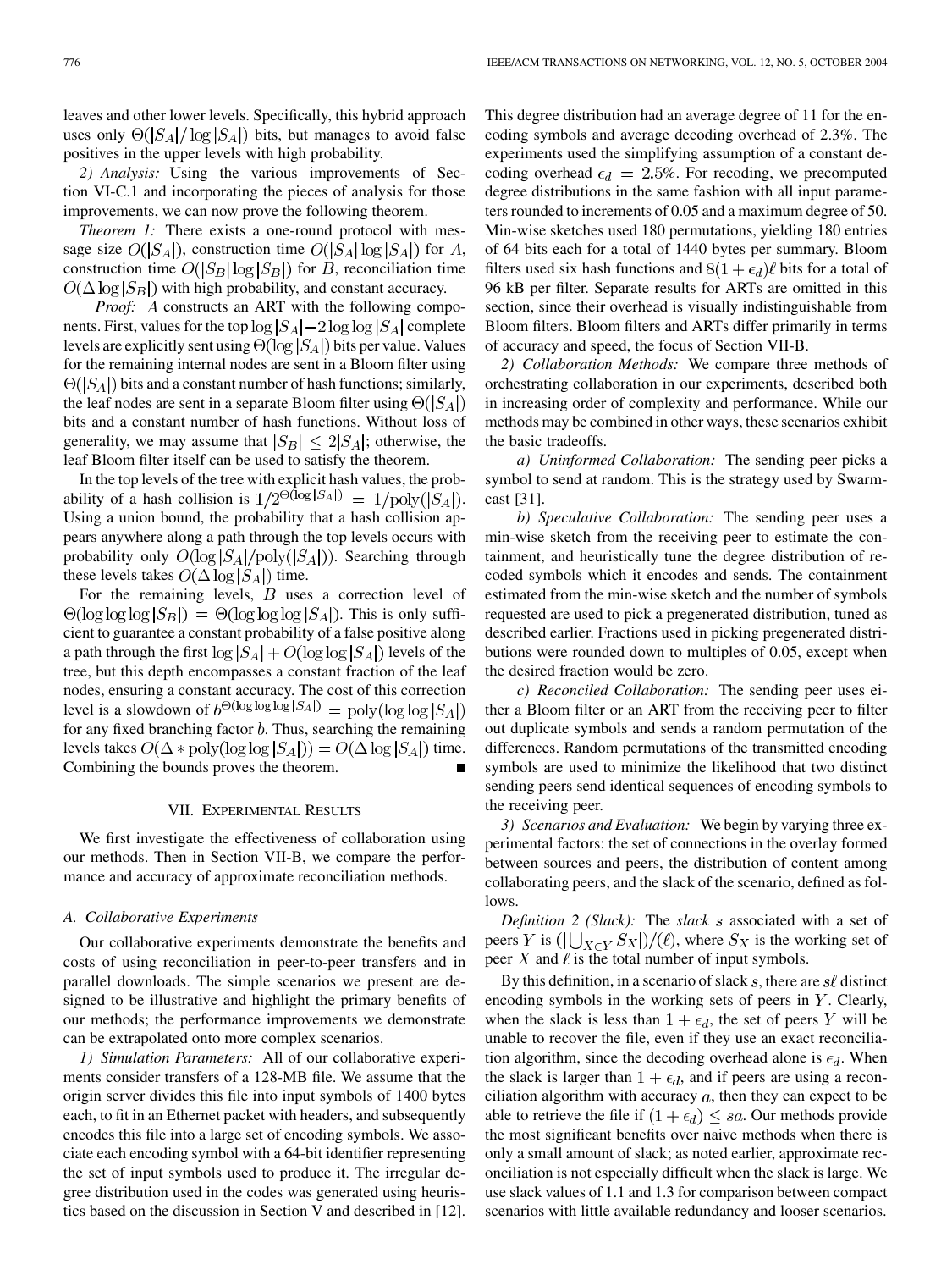leaves and other lower levels. Specifically, this hybrid approach uses only  $\Theta(|S_A|/\log |S_A|)$  bits, but manages to avoid false positives in the upper levels with high probability.

*2) Analysis:* Using the various improvements of Section VI-C.1 and incorporating the pieces of analysis for those improvements, we can now prove the following theorem.

*Theorem 1:* There exists a one-round protocol with message size  $O(|S_A|)$ , construction time  $O(|S_A| \log |S_A|)$  for A, construction time  $O(|S_B| \log |S_B|)$  for B, reconciliation time  $O(\Delta \log |S_B|)$  with high probability, and constant accuracy.

*Proof:* A constructs an ART with the following components. First, values for the top  $log |S_A| - 2 log log |S_A|$  complete levels are explicitly sent using  $\Theta(\log |S_A|)$  bits per value. Values for the remaining internal nodes are sent in a Bloom filter using  $\Theta(|S_A|)$  bits and a constant number of hash functions; similarly, the leaf nodes are sent in a separate Bloom filter using  $\Theta(|S_A|)$ bits and a constant number of hash functions. Without loss of generality, we may assume that  $|S_B| \leq 2|S_A|$ ; otherwise, the leaf Bloom filter itself can be used to satisfy the theorem.

In the top levels of the tree with explicit hash values, the probability of a hash collision is  $1/2^{\Theta(\log |S_A|)} = 1/\text{poly}(|S_A|)$ . Using a union bound, the probability that a hash collision appears anywhere along a path through the top levels occurs with probability only  $O(\log |S_A| / \text{poly}(|S_A|))$ . Searching through these levels takes  $O(\Delta \log |S_A|)$  time.

For the remaining levels,  $B$  uses a correction level of  $\Theta(\log \log \log |S_B|) = \Theta(\log \log \log |S_A|)$ . This is only sufficient to guarantee a constant probability of a false positive along a path through the first  $\log |S_A| + O(\log \log |S_A|)$  levels of the tree, but this depth encompasses a constant fraction of the leaf nodes, ensuring a constant accuracy. The cost of this correction level is a slowdown of  $b^{\Theta(\log \log \log |S_A|)} = \text{poly}(\log \log |S_A|)$ for any fixed branching factor  $b$ . Thus, searching the remaining levels takes  $O(\Delta * \text{poly}(\log \log |S_A|)) = O(\Delta \log |S_A|)$  time. Combining the bounds proves the theorem.

#### VII. EXPERIMENTAL RESULTS

We first investigate the effectiveness of collaboration using our methods. Then in Section VII-B, we compare the performance and accuracy of approximate reconciliation methods.

#### *A. Collaborative Experiments*

Our collaborative experiments demonstrate the benefits and costs of using reconciliation in peer-to-peer transfers and in parallel downloads. The simple scenarios we present are designed to be illustrative and highlight the primary benefits of our methods; the performance improvements we demonstrate can be extrapolated onto more complex scenarios.

*1) Simulation Parameters:* All of our collaborative experiments consider transfers of a 128-MB file. We assume that the origin server divides this file into input symbols of 1400 bytes each, to fit in an Ethernet packet with headers, and subsequently encodes this file into a large set of encoding symbols. We associate each encoding symbol with a 64-bit identifier representing the set of input symbols used to produce it. The irregular degree distribution used in the codes was generated using heuristics based on the discussion in Section V and described in [[12\]](#page-13-0). This degree distribution had an average degree of 11 for the encoding symbols and average decoding overhead of 2.3%. The experiments used the simplifying assumption of a constant decoding overhead  $\epsilon_d = 2.5\%$ . For recoding, we precomputed degree distributions in the same fashion with all input parameters rounded to increments of 0.05 and a maximum degree of 50. Min-wise sketches used 180 permutations, yielding 180 entries of 64 bits each for a total of 1440 bytes per summary. Bloom filters used six hash functions and  $8(1 + \epsilon_d)\ell$  bits for a total of 96 kB per filter. Separate results for ARTs are omitted in this section, since their overhead is visually indistinguishable from Bloom filters. Bloom filters and ARTs differ primarily in terms of accuracy and speed, the focus of Section VII-B.

*2) Collaboration Methods:* We compare three methods of orchestrating collaboration in our experiments, described both in increasing order of complexity and performance. While our methods may be combined in other ways, these scenarios exhibit the basic tradeoffs.

*a) Uninformed Collaboration:* The sending peer picks a symbol to send at random. This is the strategy used by Swarmcast [\[31](#page-13-0)].

*b) Speculative Collaboration:* The sending peer uses a min-wise sketch from the receiving peer to estimate the containment, and heuristically tune the degree distribution of recoded symbols which it encodes and sends. The containment estimated from the min-wise sketch and the number of symbols requested are used to pick a pregenerated distribution, tuned as described earlier. Fractions used in picking pregenerated distributions were rounded down to multiples of 0.05, except when the desired fraction would be zero.

*c) Reconciled Collaboration:* The sending peer uses either a Bloom filter or an ART from the receiving peer to filter out duplicate symbols and sends a random permutation of the differences. Random permutations of the transmitted encoding symbols are used to minimize the likelihood that two distinct sending peers send identical sequences of encoding symbols to the receiving peer.

*3) Scenarios and Evaluation:* We begin by varying three experimental factors: the set of connections in the overlay formed between sources and peers, the distribution of content among collaborating peers, and the slack of the scenario, defined as follows.

*Definition 2 (Slack)*: The *slack s* associated with a set of peers Y is  $(|\bigcup_{X\in Y} S_X|)/(\ell)$ , where  $S_X$  is the working set of peer  $X$  and  $\ell$  is the total number of input symbols.

By this definition, in a scenario of slack s, there are  $s\ell$  distinct encoding symbols in the working sets of peers in  $Y$ . Clearly, when the slack is less than  $1 + \epsilon_d$ , the set of peers Y will be unable to recover the file, even if they use an exact reconciliation algorithm, since the decoding overhead alone is  $\epsilon_d$ . When the slack is larger than  $1 + \epsilon_d$ , and if peers are using a reconciliation algorithm with accuracy  $a$ , then they can expect to be able to retrieve the file if  $(1 + \epsilon_d) \leq sa$ . Our methods provide the most significant benefits over naive methods when there is only a small amount of slack; as noted earlier, approximate reconciliation is not especially difficult when the slack is large. We use slack values of 1.1 and 1.3 for comparison between compact scenarios with little available redundancy and looser scenarios.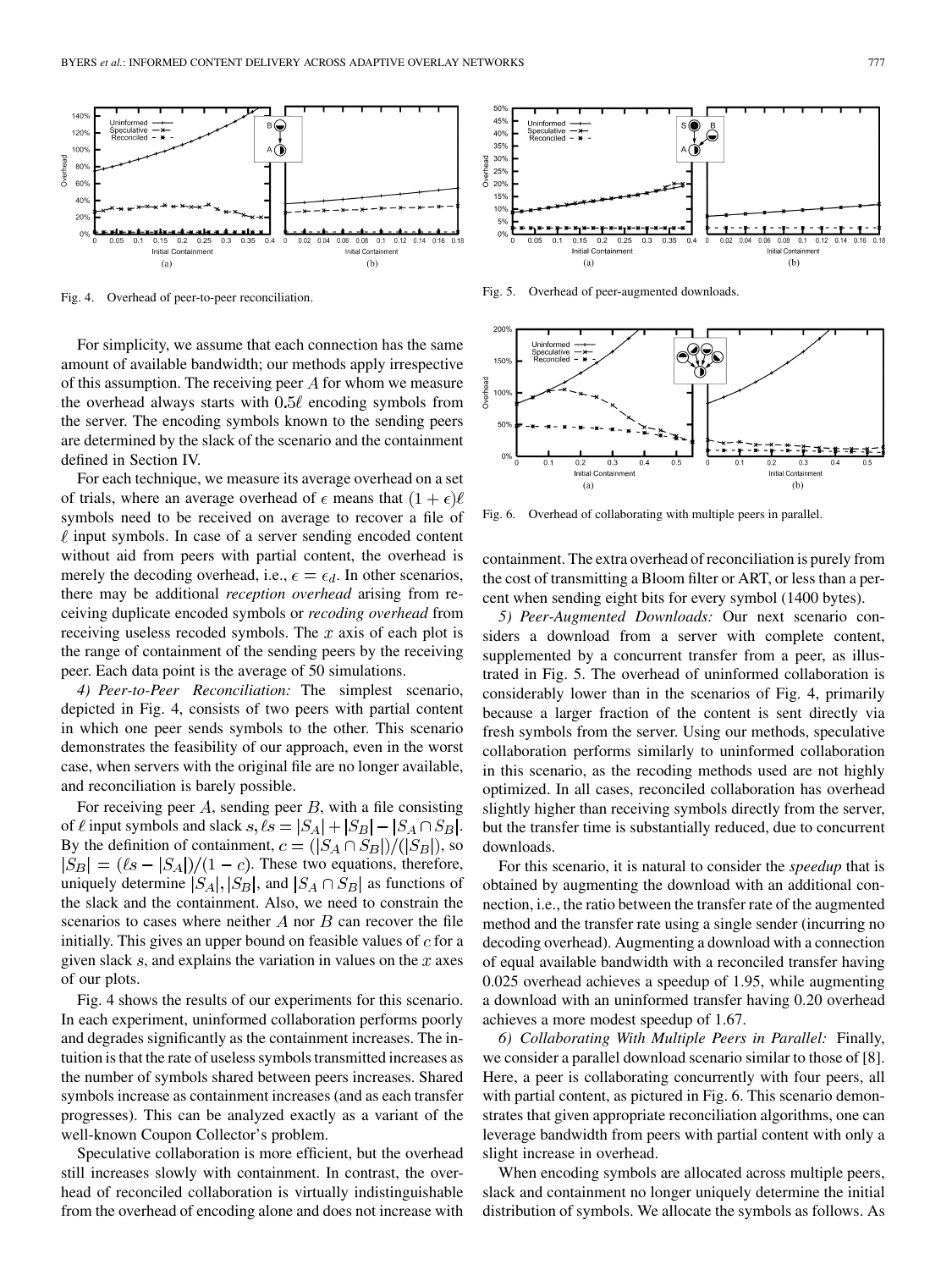

Fig. 4. Overhead of peer-to-peer reconciliation.

For simplicity, we assume that each connection has the same amount of available bandwidth; our methods apply irrespective of this assumption. The receiving peer  $A$  for whom we measure the overhead always starts with  $0.5\ell$  encoding symbols from the server. The encoding symbols known to the sending peers are determined by the slack of the scenario and the containment defined in Section IV.

For each technique, we measure its average overhead on a set of trials, where an average overhead of  $\epsilon$  means that  $(1 + \epsilon)\ell$ symbols need to be received on average to recover a file of  $\ell$  input symbols. In case of a server sending encoded content without aid from peers with partial content, the overhead is merely the decoding overhead, i.e.,  $\epsilon = \epsilon_d$ . In other scenarios, there may be additional *reception overhead* arising from receiving duplicate encoded symbols or *recoding overhead* from receiving useless recoded symbols. The  $x$  axis of each plot is the range of containment of the sending peers by the receiving peer. Each data point is the average of 50 simulations.

*4) Peer-to-Peer Reconciliation:* The simplest scenario, depicted in Fig. 4, consists of two peers with partial content in which one peer sends symbols to the other. This scenario demonstrates the feasibility of our approach, even in the worst case, when servers with the original file are no longer available, and reconciliation is barely possible.

For receiving peer  $A$ , sending peer  $B$ , with a file consisting of  $\ell$  input symbols and slack  $s, \ell s = |S_A| + |S_B| - |S_A \cap S_B|$ . By the definition of containment,  $c = (|S_A \cap S_B|)/(|S_B|)$ , so  $|S_B| = (\ell s - |S_A|)/(1 - c)$ . These two equations, therefore, uniquely determine  $|S_A|, |S_B|$ , and  $|S_A \cap S_B|$  as functions of the slack and the containment. Also, we need to constrain the scenarios to cases where neither  $A$  nor  $B$  can recover the file initially. This gives an upper bound on feasible values of  $c$  for a given slack  $s$ , and explains the variation in values on the  $x$  axes of our plots.

Fig. 4 shows the results of our experiments for this scenario. In each experiment, uninformed collaboration performs poorly and degrades significantly as the containment increases. The intuition is that the rate of useless symbols transmitted increases as the number of symbols shared between peers increases. Shared symbols increase as containment increases (and as each transfer progresses). This can be analyzed exactly as a variant of the well-known Coupon Collector's problem.

Speculative collaboration is more efficient, but the overhead still increases slowly with containment. In contrast, the overhead of reconciled collaboration is virtually indistinguishable from the overhead of encoding alone and does not increase with



Fig. 5. Overhead of peer-augmented downloads.



Fig. 6. Overhead of collaborating with multiple peers in parallel.

containment. The extra overhead of reconciliation is purely from the cost of transmitting a Bloom filter or ART, or less than a percent when sending eight bits for every symbol (1400 bytes).

*5) Peer-Augmented Downloads:* Our next scenario considers a download from a server with complete content, supplemented by a concurrent transfer from a peer, as illustrated in Fig. 5. The overhead of uninformed collaboration is considerably lower than in the scenarios of Fig. 4, primarily because a larger fraction of the content is sent directly via fresh symbols from the server. Using our methods, speculative collaboration performs similarly to uninformed collaboration in this scenario, as the recoding methods used are not highly optimized. In all cases, reconciled collaboration has overhead slightly higher than receiving symbols directly from the server, but the transfer time is substantially reduced, due to concurrent downloads.

For this scenario, it is natural to consider the *speedup* that is obtained by augmenting the download with an additional connection, i.e., the ratio between the transfer rate of the augmented method and the transfer rate using a single sender (incurring no decoding overhead). Augmenting a download with a connection of equal available bandwidth with a reconciled transfer having 0.025 overhead achieves a speedup of 1.95, while augmenting a download with an uninformed transfer having 0.20 overhead achieves a more modest speedup of 1.67.

*6) Collaborating With Multiple Peers in Parallel:* Finally, we consider a parallel download scenario similar to those of [\[8](#page-13-0)]. Here, a peer is collaborating concurrently with four peers, all with partial content, as pictured in Fig. 6. This scenario demonstrates that given appropriate reconciliation algorithms, one can leverage bandwidth from peers with partial content with only a slight increase in overhead.

When encoding symbols are allocated across multiple peers, slack and containment no longer uniquely determine the initial distribution of symbols. We allocate the symbols as follows. As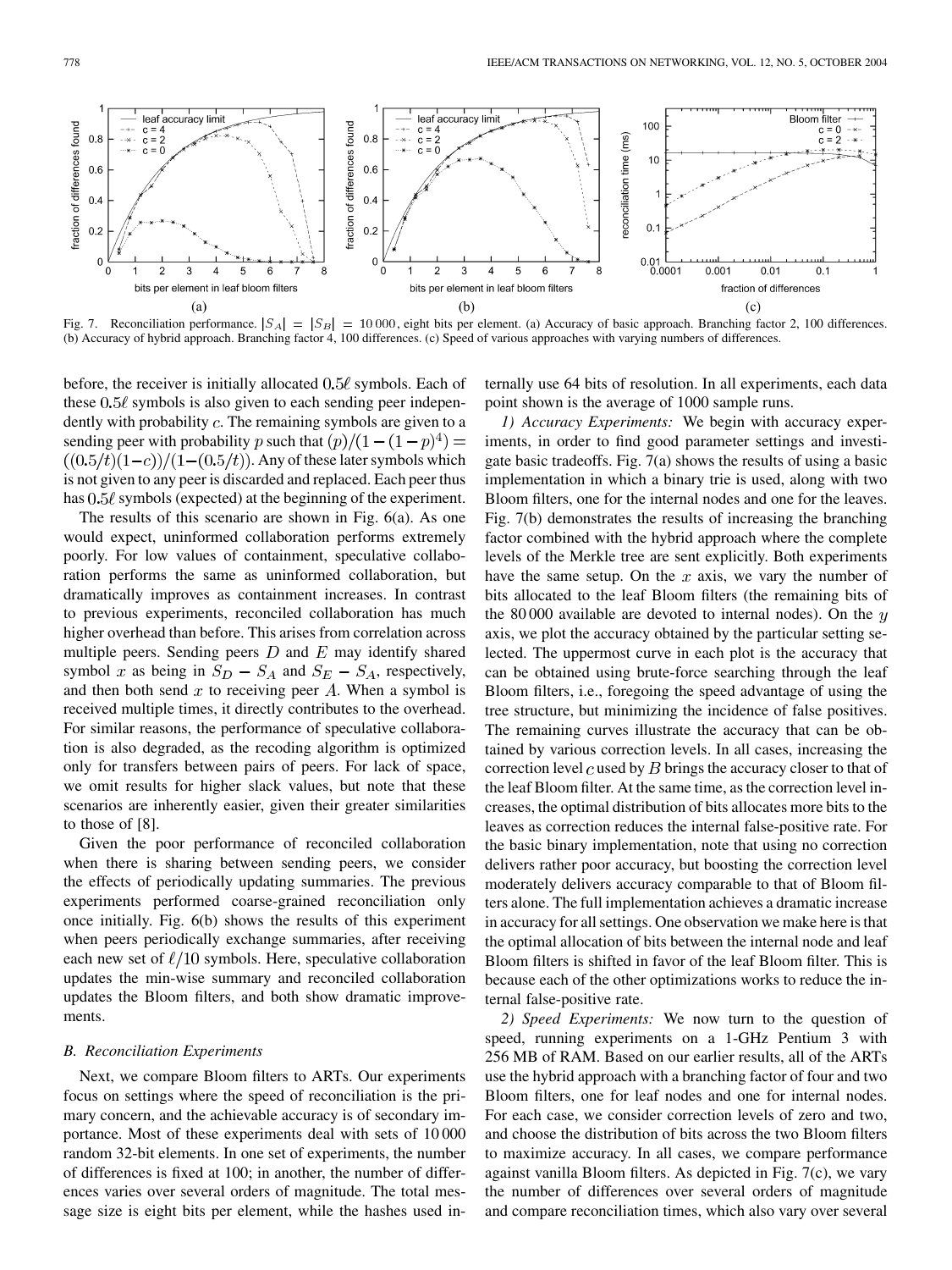

Fig. 7. Reconciliation performance.  $|S_A| = |S_B| = 10000$ , eight bits per element. (a) Accuracy of basic approach. Branching factor 2, 100 differences. (b) Accuracy of hybrid approach. Branching factor 4, 100 differences. (c) Speed of various approaches with varying numbers of differences.

before, the receiver is initially allocated  $0.5\ell$  symbols. Each of these  $0.5\ell$  symbols is also given to each sending peer independently with probability  $c$ . The remaining symbols are given to a sending peer with probability p such that  $(p)/(1-(1-p)^4)$  =  $((0.5/t)(1-c))/(1-(0.5/t))$ . Any of these later symbols which is not given to any peer is discarded and replaced. Each peer thus has  $0.5\ell$  symbols (expected) at the beginning of the experiment.

The results of this scenario are shown in Fig. 6(a). As one would expect, uninformed collaboration performs extremely poorly. For low values of containment, speculative collaboration performs the same as uninformed collaboration, but dramatically improves as containment increases. In contrast to previous experiments, reconciled collaboration has much higher overhead than before. This arises from correlation across multiple peers. Sending peers  $D$  and  $E$  may identify shared symbol x as being in  $S_D - S_A$  and  $S_E - S_A$ , respectively, and then both send  $x$  to receiving peer  $A$ . When a symbol is received multiple times, it directly contributes to the overhead. For similar reasons, the performance of speculative collaboration is also degraded, as the recoding algorithm is optimized only for transfers between pairs of peers. For lack of space, we omit results for higher slack values, but note that these scenarios are inherently easier, given their greater similarities to those of [[8\]](#page-13-0).

Given the poor performance of reconciled collaboration when there is sharing between sending peers, we consider the effects of periodically updating summaries. The previous experiments performed coarse-grained reconciliation only once initially. Fig. 6(b) shows the results of this experiment when peers periodically exchange summaries, after receiving each new set of  $\ell/10$  symbols. Here, speculative collaboration updates the min-wise summary and reconciled collaboration updates the Bloom filters, and both show dramatic improvements.

# *B. Reconciliation Experiments*

Next, we compare Bloom filters to ARTs. Our experiments focus on settings where the speed of reconciliation is the primary concern, and the achievable accuracy is of secondary importance. Most of these experiments deal with sets of 10 000 random 32-bit elements. In one set of experiments, the number of differences is fixed at 100; in another, the number of differences varies over several orders of magnitude. The total message size is eight bits per element, while the hashes used in-

ternally use 64 bits of resolution. In all experiments, each data point shown is the average of 1000 sample runs.

*1) Accuracy Experiments:* We begin with accuracy experiments, in order to find good parameter settings and investigate basic tradeoffs. Fig. 7(a) shows the results of using a basic implementation in which a binary trie is used, along with two Bloom filters, one for the internal nodes and one for the leaves. Fig. 7(b) demonstrates the results of increasing the branching factor combined with the hybrid approach where the complete levels of the Merkle tree are sent explicitly. Both experiments have the same setup. On the  $x$  axis, we vary the number of bits allocated to the leaf Bloom filters (the remaining bits of the 80 000 available are devoted to internal nodes). On the  $y$ axis, we plot the accuracy obtained by the particular setting selected. The uppermost curve in each plot is the accuracy that can be obtained using brute-force searching through the leaf Bloom filters, i.e., foregoing the speed advantage of using the tree structure, but minimizing the incidence of false positives. The remaining curves illustrate the accuracy that can be obtained by various correction levels. In all cases, increasing the correction level c used by  $B$  brings the accuracy closer to that of the leaf Bloom filter. At the same time, as the correction level increases, the optimal distribution of bits allocates more bits to the leaves as correction reduces the internal false-positive rate. For the basic binary implementation, note that using no correction delivers rather poor accuracy, but boosting the correction level moderately delivers accuracy comparable to that of Bloom filters alone. The full implementation achieves a dramatic increase in accuracy for all settings. One observation we make here is that the optimal allocation of bits between the internal node and leaf Bloom filters is shifted in favor of the leaf Bloom filter. This is because each of the other optimizations works to reduce the internal false-positive rate.

*2) Speed Experiments:* We now turn to the question of speed, running experiments on a 1-GHz Pentium 3 with 256 MB of RAM. Based on our earlier results, all of the ARTs use the hybrid approach with a branching factor of four and two Bloom filters, one for leaf nodes and one for internal nodes. For each case, we consider correction levels of zero and two, and choose the distribution of bits across the two Bloom filters to maximize accuracy. In all cases, we compare performance against vanilla Bloom filters. As depicted in Fig. 7(c), we vary the number of differences over several orders of magnitude and compare reconciliation times, which also vary over several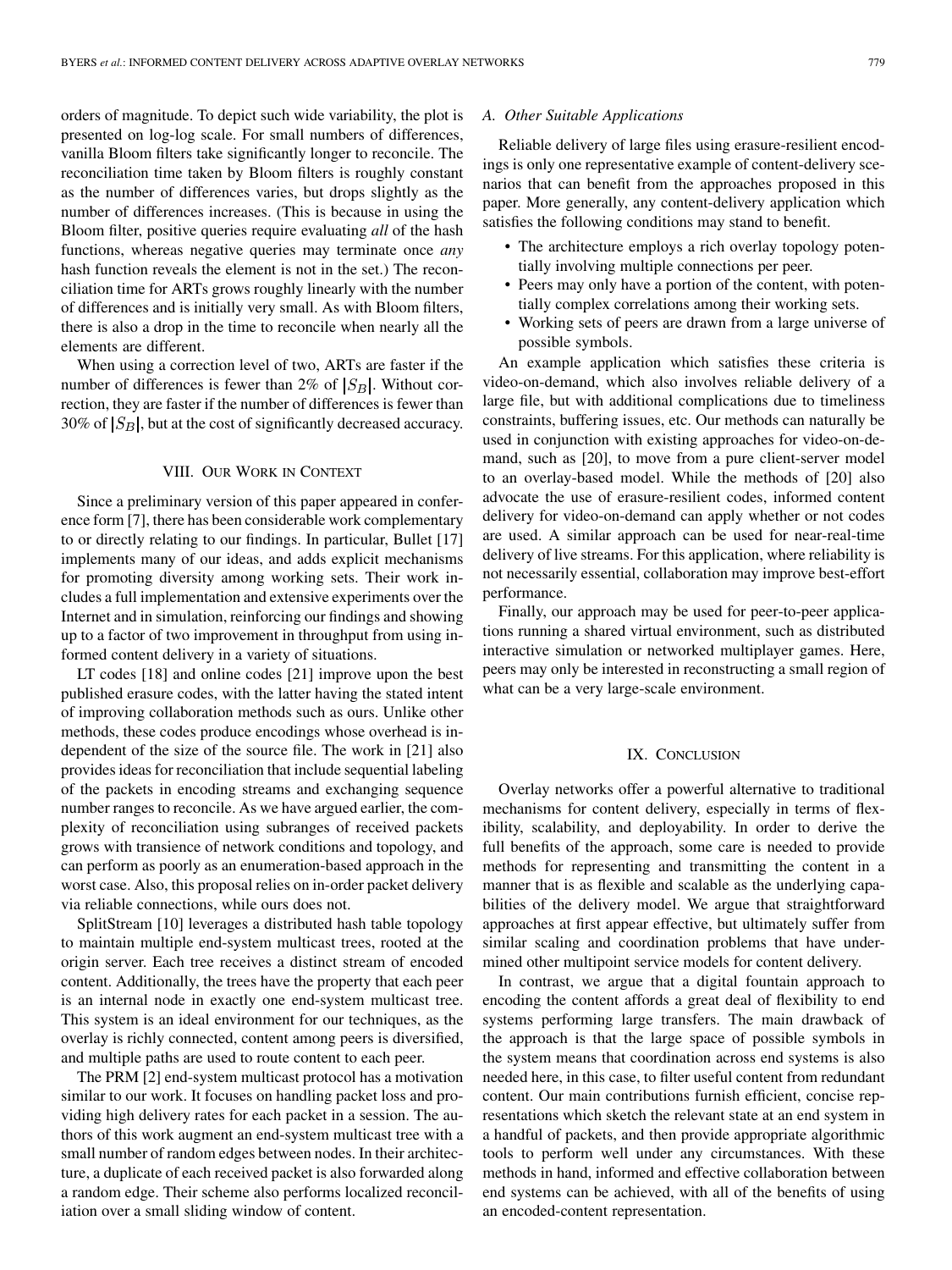orders of magnitude. To depict such wide variability, the plot is presented on log-log scale. For small numbers of differences, vanilla Bloom filters take significantly longer to reconcile. The reconciliation time taken by Bloom filters is roughly constant as the number of differences varies, but drops slightly as the number of differences increases. (This is because in using the Bloom filter, positive queries require evaluating *all* of the hash functions, whereas negative queries may terminate once *any* hash function reveals the element is not in the set.) The reconciliation time for ARTs grows roughly linearly with the number of differences and is initially very small. As with Bloom filters, there is also a drop in the time to reconcile when nearly all the elements are different.

When using a correction level of two, ARTs are faster if the number of differences is fewer than 2% of  $|S_B|$ . Without correction, they are faster if the number of differences is fewer than 30% of  $|S_B|$ , but at the cost of significantly decreased accuracy.

#### VIII. OUR WORK IN CONTEXT

Since a preliminary version of this paper appeared in conference form [[7\]](#page-13-0), there has been considerable work complementary to or directly relating to our findings. In particular, Bullet [[17\]](#page-13-0) implements many of our ideas, and adds explicit mechanisms for promoting diversity among working sets. Their work includes a full implementation and extensive experiments over the Internet and in simulation, reinforcing our findings and showing up to a factor of two improvement in throughput from using informed content delivery in a variety of situations.

LT codes [[18](#page-13-0)] and online codes [\[21](#page-13-0)] improve upon the best published erasure codes, with the latter having the stated intent of improving collaboration methods such as ours. Unlike other methods, these codes produce encodings whose overhead is independent of the size of the source file. The work in [[21\]](#page-13-0) also provides ideas for reconciliation that include sequential labeling of the packets in encoding streams and exchanging sequence number ranges to reconcile. As we have argued earlier, the complexity of reconciliation using subranges of received packets grows with transience of network conditions and topology, and can perform as poorly as an enumeration-based approach in the worst case. Also, this proposal relies on in-order packet delivery via reliable connections, while ours does not.

SplitStream [\[10](#page-13-0)] leverages a distributed hash table topology to maintain multiple end-system multicast trees, rooted at the origin server. Each tree receives a distinct stream of encoded content. Additionally, the trees have the property that each peer is an internal node in exactly one end-system multicast tree. This system is an ideal environment for our techniques, as the overlay is richly connected, content among peers is diversified, and multiple paths are used to route content to each peer.

The PRM [\[2](#page-13-0)] end-system multicast protocol has a motivation similar to our work. It focuses on handling packet loss and providing high delivery rates for each packet in a session. The authors of this work augment an end-system multicast tree with a small number of random edges between nodes. In their architecture, a duplicate of each received packet is also forwarded along a random edge. Their scheme also performs localized reconciliation over a small sliding window of content.

#### *A. Other Suitable Applications*

Reliable delivery of large files using erasure-resilient encodings is only one representative example of content-delivery scenarios that can benefit from the approaches proposed in this paper. More generally, any content-delivery application which satisfies the following conditions may stand to benefit.

- The architecture employs a rich overlay topology potentially involving multiple connections per peer.
- Peers may only have a portion of the content, with potentially complex correlations among their working sets.
- Working sets of peers are drawn from a large universe of possible symbols.

An example application which satisfies these criteria is video-on-demand, which also involves reliable delivery of a large file, but with additional complications due to timeliness constraints, buffering issues, etc. Our methods can naturally be used in conjunction with existing approaches for video-on-demand, such as [\[20](#page-13-0)], to move from a pure client-server model to an overlay-based model. While the methods of [\[20](#page-13-0)] also advocate the use of erasure-resilient codes, informed content delivery for video-on-demand can apply whether or not codes are used. A similar approach can be used for near-real-time delivery of live streams. For this application, where reliability is not necessarily essential, collaboration may improve best-effort performance.

Finally, our approach may be used for peer-to-peer applications running a shared virtual environment, such as distributed interactive simulation or networked multiplayer games. Here, peers may only be interested in reconstructing a small region of what can be a very large-scale environment.

#### IX. CONCLUSION

Overlay networks offer a powerful alternative to traditional mechanisms for content delivery, especially in terms of flexibility, scalability, and deployability. In order to derive the full benefits of the approach, some care is needed to provide methods for representing and transmitting the content in a manner that is as flexible and scalable as the underlying capabilities of the delivery model. We argue that straightforward approaches at first appear effective, but ultimately suffer from similar scaling and coordination problems that have undermined other multipoint service models for content delivery.

In contrast, we argue that a digital fountain approach to encoding the content affords a great deal of flexibility to end systems performing large transfers. The main drawback of the approach is that the large space of possible symbols in the system means that coordination across end systems is also needed here, in this case, to filter useful content from redundant content. Our main contributions furnish efficient, concise representations which sketch the relevant state at an end system in a handful of packets, and then provide appropriate algorithmic tools to perform well under any circumstances. With these methods in hand, informed and effective collaboration between end systems can be achieved, with all of the benefits of using an encoded-content representation.